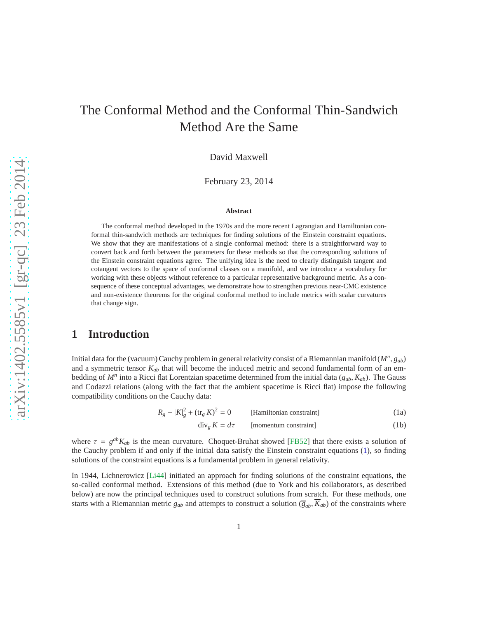# The Conformal Method and the Conformal Thin-Sandwich Method Are the Same

David Maxwell

February 23, 2014

#### **Abstract**

The conformal method developed in the 1970s and the more recent Lagrangian and Hamiltonian conformal thin-sandwich methods are techniques for finding solutions of the Einstein constraint equations. We show that they are manifestations of a single conformal method: there is a straightforward way to convert back and forth between the parameters for these methods so that the corresponding solutions of the Einstein constraint equations agree. The unifying idea is the need to clearly distinguish tangent and cotangent vectors to the space of conformal classes on a manifold, and we introduce a vocabulary for working with these objects without reference to a particular representative background metric. As a consequence of these conceptual advantages, we demonstrate how to strengthen previous near-CMC existence and non-existence theorems for the original conformal method to include metrics with scalar curvatures that change sign.

# **1 Introduction**

Initial data for the (vacuum) Cauchy problem in general relativity consist of a Riemannian manifold (*M<sup>n</sup>* , *gab*) and a symmetric tensor *Kab* that will become the induced metric and second fundamental form of an embedding of *M<sup>n</sup>* into a Ricci flat Lorentzian spacetime determined from the initial data (*gab*, *Kab*). The Gauss and Codazzi relations (along with the fact that the ambient spacetime is Ricci flat) impose the following compatibility conditions on the Cauchy data:

$$
R_g - |K|_g^2 + (\text{tr}_g K)^2 = 0
$$
 [Hamiltonian constraint] (1a)

<span id="page-0-1"></span><span id="page-0-0"></span>[momentum constraint] (1b)

where  $\tau = g^{ab}K_{ab}$  is the mean curvature. Choquet-Bruhat showed [\[FB52\]](#page-32-0) that there exists a solution of the Cauchy problem if and only if the initial data satisfy the Einstein constraint equations [\(1\)](#page-0-0), so finding solutions of the constraint equations is a fundamental problem in general relativity.

In 1944, Lichnerowicz [\[Li44\]](#page-33-0) initiated an approach for finding solutions of the constraint equations, the so-called conformal method. Extensions of this method (due to York and his collaborators, as described below) are now the principal techniques used to construct solutions from scratch. For these methods, one starts with a Riemannian metric  $g_{ab}$  and attempts to construct a solution  $(\overline{g}_{ab}, \overline{K}_{ab})$  of the constraints where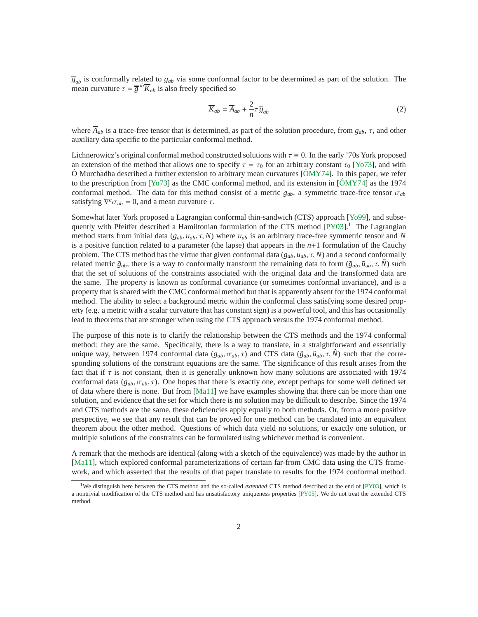$\overline{g}_{ab}$  is conformally related to  $g_{ab}$  via some conformal factor to be determined as part of the solution. The mean curvature  $\tau = \overline{g}^{ab}\overline{K}_{ab}$  is also freely specified so

$$
\overline{K}_{ab} = \overline{A}_{ab} + \frac{2}{n}\tau \overline{g}_{ab} \tag{2}
$$

where  $\overline{A}_{ab}$  is a trace-free tensor that is determined, as part of the solution procedure, from  $g_{ab}$ ,  $\tau$ , and other auxiliary data specific to the particular conformal method.

Lichnerowicz's original conformal method constructed solutions with  $\tau \equiv 0$ . In the early '70s York proposed an extension of the method that allows one to specify  $\tau = \tau_0$  for an arbitrary constant  $\tau_0$  [\[Yo73\]](#page-33-1), and with  $\acute{o}$  Murchadha described a further extension to arbitrary mean curvatures  $[\acute{o}MY74]$ . In this paper, we refer to the prescription from [\[Yo73\]](#page-33-1) as the CMC conformal method, and its extension in [\[OMY74](#page-33-2)] as the 1974 conformal method. The data for this method consist of a metric  $g_{ab}$ , a symmetric trace-free tensor  $\sigma_{ab}$ satisfying  $\nabla^a \sigma_{ab} = 0$ , and a mean curvature  $\tau$ .

Somewhat later York proposed a Lagrangian conformal thin-sandwich (CTS) approach [\[Yo99\]](#page-33-3), and subsequently with Pfeiffer described a Hamiltonian formulation of the CTS method  $[PY03]$ .<sup>[1](#page-1-0)</sup> The Lagrangian method starts from initial data  $(g_{ab}, u_{ab}, \tau, N)$  where  $u_{ab}$  is an arbitrary trace-free symmetric tensor and N is a positive function related to a parameter (the lapse) that appears in the  $n+1$  formulation of the Cauchy problem. The CTS method has the virtue that given conformal data ( $g_{ab}$ ,  $u_{ab}$ ,  $\tau$ ,  $N$ ) and a second conformally related metric  $\tilde{g}_{ab}$ , there is a way to conformally transform the remaining data to form  $(\tilde{g}_{ab}, \tilde{u}_{ab}, \tau, \tilde{N})$  such that the set of solutions of the constraints associated with the original data and the transformed data are the same. The property is known as conformal covariance (or sometimes conformal invariance), and is a property that is shared with the CMC conformal method but that is apparently absent for the 1974 conformal method. The ability to select a background metric within the conformal class satisfying some desired property (e.g. a metric with a scalar curvature that has constant sign) is a powerful tool, and this has occasionally lead to theorems that are stronger when using the CTS approach versus the 1974 conformal method.

The purpose of this note is to clarify the relationship between the CTS methods and the 1974 conformal method: they are the same. Specifically, there is a way to translate, in a straightforward and essentially unique way, between 1974 conformal data ( $g_{ab}$ ,  $\sigma_{ab}$ ,  $\tau$ ) and CTS data ( $\hat{g}_{ab}$ ,  $\hat{u}_{ab}$ ,  $\tau$ ,  $\hat{N}$ ) such that the corresponding solutions of the constraint equations are the same. The significance of this result arises from the fact that if  $\tau$  is not constant, then it is generally unknown how many solutions are associated with 1974 conformal data  $(g_{ab}, \sigma_{ab}, \tau)$ . One hopes that there is exactly one, except perhaps for some well defined set of data where there is none. But from [\[Ma11\]](#page-33-5) we have examples showing that there can be more than one solution, and evidence that the set for which there is no solution may be difficult to describe. Since the 1974 and CTS methods are the same, these deficiencies apply equally to both methods. Or, from a more positive perspective, we see that any result that can be proved for one method can be translated into an equivalent theorem about the other method. Questions of which data yield no solutions, or exactly one solution, or multiple solutions of the constraints can be formulated using whichever method is convenient.

A remark that the methods are identical (along with a sketch of the equivalence) was made by the author in [\[Ma11\]](#page-33-5), which explored conformal parameterizations of certain far-from CMC data using the CTS framework, and which asserted that the results of that paper translate to results for the 1974 conformal method.

<span id="page-1-0"></span><sup>&</sup>lt;sup>1</sup>We distinguish here between the CTS method and the so-called *extended* CTS method described at the end of [\[PY03\]](#page-33-4), which is a nontrivial modification of the CTS method and has unsatisfactory uniqueness properties [\[PY05\]](#page-33-6). We do not treat the extended CTS method.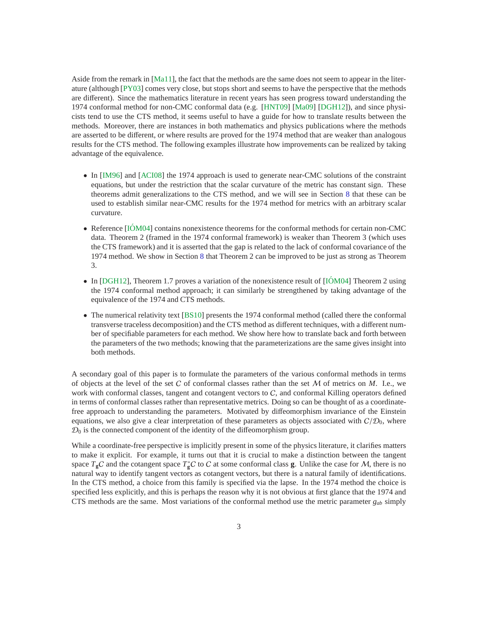Aside from the remark in [\[Ma11\]](#page-33-5), the fact that the methods are the same does not seem to appear in the literature (although [\[PY03\]](#page-33-4) comes very close, but stops short and seems to have the perspective that the methods are different). Since the mathematics literature in recent years has seen progress toward understanding the 1974 conformal method for non-CMC conformal data (e.g. [\[HNT09\]](#page-32-1) [\[Ma09\]](#page-33-7) [\[DGH12\]](#page-32-2)), and since physicists tend to use the CTS method, it seems useful to have a guide for how to translate results between the methods. Moreover, there are instances in both mathematics and physics publications where the methods are asserted to be different, or where results are proved for the 1974 method that are weaker than analogous results for the CTS method. The following examples illustrate how improvements can be realized by taking advantage of the equivalence.

- In [\[IM96\]](#page-32-3) and [\[ACI08\]](#page-32-4) the 1974 approach is used to generate near-CMC solutions of the constraint equations, but under the restriction that the scalar curvature of the metric has constant sign. These theorems admit generalizations to the CTS method, and we will see in Section [8](#page-27-0) that these can be used to establish similar near-CMC results for the 1974 method for metrics with an arbitrary scalar curvature.
- Reference  $[IOM04]$  contains nonexistence theorems for the conformal methods for certain non-CMC data. Theorem 2 (framed in the 1974 conformal framework) is weaker than Theorem 3 (which uses the CTS framework) and it is asserted that the gap is related to the lack of conformal covariance of the 1974 method. We show in Section [8](#page-27-0) that Theorem 2 can be improved to be just as strong as Theorem 3.
- In [\[DGH12\]](#page-32-2), Theorem 1.7 proves a variation of the nonexistence result of  $[10M04]$  Theorem 2 using the 1974 conformal method approach; it can similarly be strengthened by taking advantage of the equivalence of the 1974 and CTS methods.
- The numerical relativity text [\[BS10\]](#page-32-5) presents the 1974 conformal method (called there the conformal transverse traceless decomposition) and the CTS method as different techniques, with a different number of specifiable parameters for each method. We show here how to translate back and forth between the parameters of the two methods; knowing that the parameterizations are the same gives insight into both methods.

A secondary goal of this paper is to formulate the parameters of the various conformal methods in terms of objects at the level of the set C of conformal classes rather than the set M of metrics on *M*. I.e., we work with conformal classes, tangent and cotangent vectors to  $C$ , and conformal Killing operators defined in terms of conformal classes rather than representative metrics. Doing so can be thought of as a coordinatefree approach to understanding the parameters. Motivated by diffeomorphism invariance of the Einstein equations, we also give a clear interpretation of these parameters as objects associated with  $C/D<sub>0</sub>$ , where  $\mathcal{D}_0$  is the connected component of the identity of the diffeomorphism group.

While a coordinate-free perspective is implicitly present in some of the physics literature, it clarifies matters to make it explicit. For example, it turns out that it is crucial to make a distinction between the tangent space  $T_gC$  and the cotangent space  $T_g^*C$  to C at some conformal class **g**. Unlike the case for M, there is no natural way to identify tangent vectors as cotangent vectors, but there is a natural family of identifications. In the CTS method, a choice from this family is specified via the lapse. In the 1974 method the choice is specified less explicitly, and this is perhaps the reason why it is not obvious at first glance that the 1974 and CTS methods are the same. Most variations of the conformal method use the metric parameter  $g_{ab}$  simply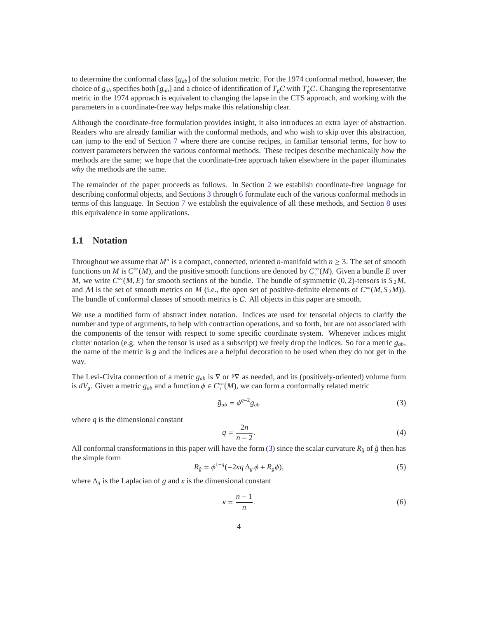to determine the conformal class [*gab*] of the solution metric. For the 1974 conformal method, however, the choice of  $g_{ab}$  specifies both  $[g_{ab}]$  and a choice of identification of  $T_gC$  with  $T_g^*C$ . Changing the representative metric in the 1974 approach is equivalent to changing the lapse in the CTS approach, and working with the parameters in a coordinate-free way helps make this relationship clear.

Although the coordinate-free formulation provides insight, it also introduces an extra layer of abstraction. Readers who are already familiar with the conformal methods, and who wish to skip over this abstraction, can jump to the end of Section [7](#page-25-0) where there are concise recipes, in familiar tensorial terms, for how to convert parameters between the various conformal methods. These recipes describe mechanically *how* the methods are the same; we hope that the coordinate-free approach taken elsewhere in the paper illuminates *why* the methods are the same.

The remainder of the paper proceeds as follows. In Section [2](#page-4-0) we establish coordinate-free language for describing conformal objects, and Sections [3](#page-13-0) through [6](#page-21-0) formulate each of the various conformal methods in terms of this language. In Section [7](#page-25-0) we establish the equivalence of all these methods, and Section [8](#page-27-0) uses this equivalence in some applications.

### **1.1 Notation**

Throughout we assume that  $M^n$  is a compact, connected, oriented *n*-manifold with  $n \geq 3$ . The set of smooth functions on *M* is  $C^{\infty}(M)$ , and the positive smooth functions are denoted by  $C^{\infty}(M)$ . Given a bundle *E* over *M*, we write  $C^{\infty}(M, E)$  for smooth sections of the bundle. The bundle of symmetric (0, 2)-tensors is  $S_2M$ , and *M* is the set of smooth metrics on *M* (i.e., the open set of positive-definite elements of  $C^{\infty}(M, S_2M)$ ). The bundle of conformal classes of smooth metrics is C. All objects in this paper are smooth.

We use a modified form of abstract index notation. Indices are used for tensorial objects to clarify the number and type of arguments, to help with contraction operations, and so forth, but are not associated with the components of the tensor with respect to some specific coordinate system. Whenever indices might clutter notation (e.g. when the tensor is used as a subscript) we freely drop the indices. So for a metric *gab*, the name of the metric is *g* and the indices are a helpful decoration to be used when they do not get in the way.

The Levi-Civita connection of a metric  $g_{ab}$  is  $\nabla$  or  $\sqrt[g]{\nabla}$  as needed, and its (positively-oriented) volume form is  $dV_g$ . Given a metric  $g_{ab}$  and a function  $\phi \in C^{\infty}_+(M)$ , we can form a conformally related metric

<span id="page-3-0"></span>
$$
\tilde{g}_{ab} = \phi^{q-2} g_{ab} \tag{3}
$$

where *q* is the dimensional constant

<span id="page-3-2"></span>
$$
q = \frac{2n}{n-2}.\tag{4}
$$

All conformal transformations in this paper will have the form [\(3\)](#page-3-0) since the scalar curvature  $R_{\tilde{g}}$  of  $\tilde{g}$  then has the simple form

<span id="page-3-1"></span>
$$
R_{\tilde{g}} = \phi^{1-q}(-2\kappa q \Delta_g \phi + R_g \phi), \qquad (5)
$$

where  $\Delta_{\varrho}$  is the Laplacian of *g* and  $\kappa$  is the dimensional constant

<span id="page-3-3"></span>
$$
\kappa = \frac{n-1}{n}.\tag{6}
$$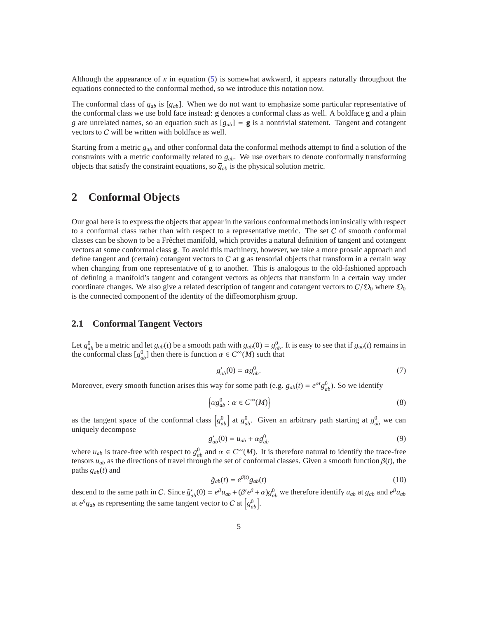Although the appearance of  $\kappa$  in equation [\(5\)](#page-3-1) is somewhat awkward, it appears naturally throughout the equations connected to the conformal method, so we introduce this notation now.

The conformal class of  $g_{ab}$  is  $[g_{ab}]$ . When we do not want to emphasize some particular representative of the conformal class we use bold face instead: **g** denotes a conformal class as well. A boldface **g** and a plain *g* are unrelated names, so an equation such as  $[g_{ab}] = g$  is a nontrivial statement. Tangent and cotangent vectors to C will be written with boldface as well.

Starting from a metric *gab* and other conformal data the conformal methods attempt to find a solution of the constraints with a metric conformally related to *gab*. We use overbars to denote conformally transforming objects that satisfy the constraint equations, so  $\overline{g}_{ab}$  is the physical solution metric.

### <span id="page-4-0"></span>**2 Conformal Objects**

Our goal here is to express the objects that appear in the various conformal methods intrinsically with respect to a conformal class rather than with respect to a representative metric. The set  $C$  of smooth conformal classes can be shown to be a Fréchet manifold, which provides a natural definition of tangent and cotangent vectors at some conformal class **g**. To avoid this machinery, however, we take a more prosaic approach and define tangent and (certain) cotangent vectors to C at **g** as tensorial objects that transform in a certain way when changing from one representative of **g** to another. This is analogous to the old-fashioned approach of defining a manifold's tangent and cotangent vectors as objects that transform in a certain way under coordinate changes. We also give a related description of tangent and cotangent vectors to  $C/D_0$  where  $D_0$ is the connected component of the identity of the diffeomorphism group.

### **2.1 Conformal Tangent Vectors**

Let  $g_{ab}^0$  be a metric and let  $g_{ab}(t)$  be a smooth path with  $g_{ab}(0) = g_{ab}^0$ . It is easy to see that if  $g_{ab}(t)$  remains in the conformal class  $[g_{ab}^0]$  then there is function  $\alpha \in C^{\infty}(M)$  such that

$$
g'_{ab}(0) = \alpha g^0_{ab}.\tag{7}
$$

Moreover, every smooth function arises this way for some path (e.g.  $g_{ab}(t) = e^{\alpha t} g_{ab}^0$ ). So we identify

$$
\left\{\alpha g_{ab}^0 : \alpha \in C^\infty(M)\right\} \tag{8}
$$

as the tangent space of the conformal class  $g_{ab}^0$  at  $g_{ab}^0$ . Given an arbitrary path starting at  $g_{ab}^0$  we can uniquely decompose

$$
g'_{ab}(0) = u_{ab} + \alpha g_{ab}^0
$$
 (9)

where  $u_{ab}$  is trace-free with respect to  $g_{ab}^0$  and  $\alpha \in C^{\infty}(M)$ . It is therefore natural to identify the trace-free tensors  $u_{ab}$  as the directions of travel through the set of conformal classes. Given a smooth function  $\beta(t)$ , the paths  $g_{ab}(t)$  and

$$
\tilde{g}_{ab}(t) = e^{\beta(t)} g_{ab}(t) \tag{10}
$$

descend to the same path in C. Since  $\tilde{g}'_{ab}(0) = e^{\beta}u_{ab} + (\beta' e^{\beta} + \alpha)g_{ab}^0$  we therefore identify  $u_{ab}$  at  $g_{ab}$  and  $e^{\beta}u_{ab}$ at  $e^{\beta}g_{ab}$  as representing the same tangent vector to C at  $\left[g_{ab}^0\right]$ .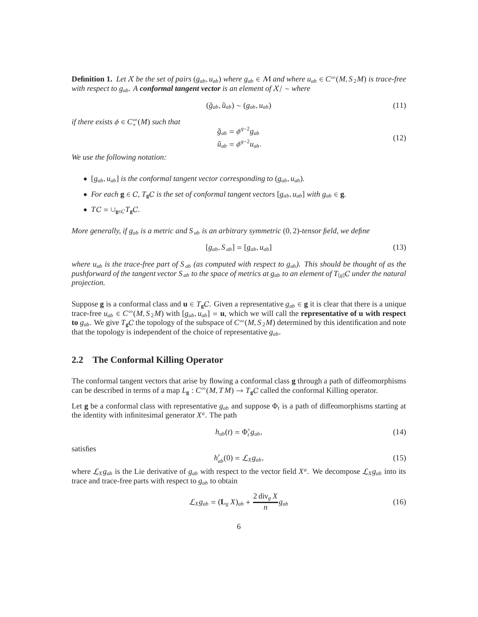<span id="page-5-0"></span>**Definition 1.** Let X be the set of pairs  $(g_{ab}, u_{ab})$  where  $g_{ab} \in M$  and where  $u_{ab} \in C^\infty(M, S_2M)$  is trace-free *with respect to gab. A conformal tangent vector is an element of* X/ ∼ *where*

$$
(\tilde{g}_{ab}, \tilde{u}_{ab}) \sim (g_{ab}, u_{ab}) \tag{11}
$$

*if there exists*  $\phi \in C^{\infty}_+(M)$  *such that* 

$$
\tilde{g}_{ab} = \phi^{q-2} g_{ab}
$$
\n
$$
\tilde{u}_{ab} = \phi^{q-2} u_{ab}.
$$
\n(12)

*We use the following notation:*

- $[g_{ab}, u_{ab}]$  *is the conformal tangent vector corresponding to*  $(g_{ab}, u_{ab})$ *.*
- *For each*  $g \in C$ *,*  $T_gC$  *is the set of conformal tangent vectors*  $[g_{ab}, u_{ab}]$  *with*  $g_{ab} \in g$ *.*
- $TC = \bigcup_{\mathbf{g} \in C} T_{\mathbf{g}}C$ .

*More generally, if gab is a metric and S ab is an arbitrary symmetric* (0, 2)*-tensor field, we define*

$$
[g_{ab}, S_{ab}] = [g_{ab}, u_{ab}] \tag{13}
$$

*where uab is the trace-free part of S ab (as computed with respect to gab). This should be thought of as the pushforward of the tangent vector*  $S_{ab}$  *to the space of metrics at*  $g_{ab}$  *to an element of*  $T_{[g]}C$  *under the natural projection.*

Suppose **g** is a conformal class and  $\mathbf{u} \in T_{\mathbf{g}}C$ . Given a representative  $g_{ab} \in \mathbf{g}$  it is clear that there is a unique trace-free  $u_{ab} \in C^{\infty}(M, S_2M)$  with  $[g_{ab}, u_{ab}] = \mathbf{u}$ , which we will call the **representative of u with respect to**  $g_{ab}$ . We give  $T_gC$  the topology of the subspace of  $C^\infty(M, S_2M)$  determined by this identification and note that the topology is independent of the choice of representative *gab*.

### **2.2 The Conformal Killing Operator**

The conformal tangent vectors that arise by flowing a conformal class **g** through a path of diffeomorphisms can be described in terms of a map  $L_g$  :  $C^{\infty}(M, TM) \to T_gC$  called the conformal Killing operator.

Let **g** be a conformal class with representative  $g_{ab}$  and suppose  $\Phi_t$  is a path of diffeomorphisms starting at the identity with infinitesimal generator  $X^a$ . The path

$$
h_{ab}(t) = \Phi_t^* g_{ab},\tag{14}
$$

satisfies

$$
h'_{ab}(0) = \mathcal{L}_X g_{ab},\tag{15}
$$

where  $\mathcal{L}_X g_{ab}$  is the Lie derivative of  $g_{ab}$  with respect to the vector field  $X^a$ . We decompose  $\mathcal{L}_X g_{ab}$  into its trace and trace-free parts with respect to  $g_{ab}$  to obtain

$$
\mathcal{L}_X g_{ab} = (\mathbf{L}_g X)_{ab} + \frac{2 \operatorname{div}_g X}{n} g_{ab} \tag{16}
$$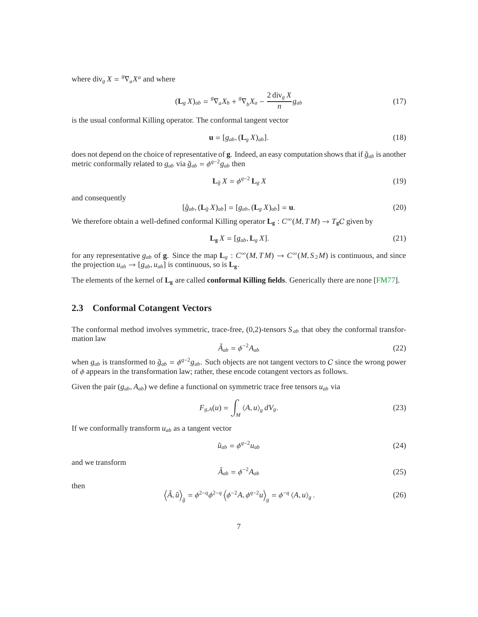where  $\text{div}_g X = {}^g \nabla_a X^a$  and where

$$
(\mathbf{L}_g X)_{ab} = {}^g \nabla_a X_b + {}^g \nabla_b X_a - \frac{2 \operatorname{div}_g X}{n} g_{ab} \tag{17}
$$

is the usual conformal Killing operator. The conformal tangent vector

$$
\mathbf{u} = [g_{ab}, (\mathbf{L}_g X)_{ab}]. \tag{18}
$$

does not depend on the choice of representative of **g**. Indeed, an easy computation shows that if  $\tilde{g}_{ab}$  is another metric conformally related to  $g_{ab}$  via  $\tilde{g}_{ab} = \phi^{q-2} g_{ab}$  then

$$
\mathbf{L}_{\tilde{g}} X = \phi^{q-2} \mathbf{L}_g X \tag{19}
$$

and consequently

$$
[\tilde{g}_{ab}, (\mathbf{L}_{\tilde{g}} X)_{ab}] = [g_{ab}, (\mathbf{L}_g X)_{ab}] = \mathbf{u}.
$$
 (20)

We therefore obtain a well-defined conformal Killing operator  $L_g : C^\infty(M, TM) \to T_gC$  given by

$$
\mathbf{L}_{g} X = [g_{ab}, \mathbf{L}_{g} X]. \tag{21}
$$

for any representative  $g_{ab}$  of **g**. Since the map  $\mathbf{L}_g : C^\infty(M, TM) \to C^\infty(M, S_2M)$  is continuous, and since the projection  $u_{ab} \rightarrow [g_{ab}, u_{ab}]$  is continuous, so is  $\mathbf{L_g}$ .

The elements of the kernel of **L<sup>g</sup>** are called **conformal Killing fields**. Generically there are none [\[FM77\]](#page-32-6).

### **2.3 Conformal Cotangent Vectors**

The conformal method involves symmetric, trace-free, (0,2)-tensors *S ab* that obey the conformal transformation law

$$
\tilde{A}_{ab} = \phi^{-2} A_{ab} \tag{22}
$$

when  $g_{ab}$  is transformed to  $\tilde{g}_{ab} = \phi^{q-2}g_{ab}$ . Such objects are not tangent vectors to C since the wrong power of  $\phi$  appears in the transformation law; rather, these encode cotangent vectors as follows.

Given the pair  $(g_{ab}, A_{ab})$  we define a functional on symmetric trace free tensors  $u_{ab}$  via

$$
F_{g,A}(u) = \int_M \langle A, u \rangle_g \, dV_g. \tag{23}
$$

If we conformally transform *uab* as a tangent vector

$$
\tilde{u}_{ab} = \phi^{q-2} u_{ab} \tag{24}
$$

and we transform

<span id="page-6-0"></span>
$$
\tilde{A}_{ab} = \phi^{-2} A_{ab} \tag{25}
$$

then

$$
\left\langle \tilde{A}, \tilde{u} \right\rangle_{\tilde{g}} = \phi^{2-q} \phi^{2-q} \left\langle \phi^{-2} A, \phi^{q-2} u \right\rangle_{g} = \phi^{-q} \left\langle A, u \right\rangle_{g} . \tag{26}
$$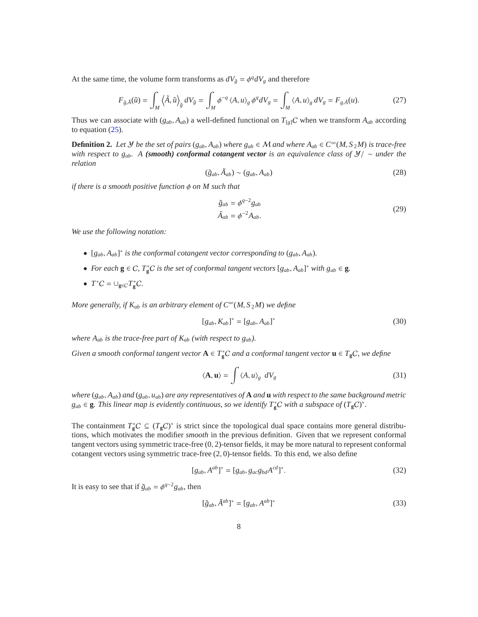At the same time, the volume form transforms as  $dV_{\tilde{g}} = \phi^q dV_g$  and therefore

$$
F_{\tilde{g},\tilde{A}}(\tilde{u}) = \int_M \left\langle \tilde{A}, \tilde{u} \right\rangle_{\tilde{g}} dV_{\tilde{g}} = \int_M \phi^{-q} \left\langle A, u \right\rangle_g \phi^q dV_g = \int_M \left\langle A, u \right\rangle_g dV_g = F_{g,\tilde{A}}(u). \tag{27}
$$

Thus we can associate with  $(g_{ab}, A_{ab})$  a well-defined functional on  $T_{g|C}$  when we transform  $A_{ab}$  according to equation [\(25\)](#page-6-0).

<span id="page-7-0"></span>**Definition 2.** Let *y* be the set of pairs ( $g_{ab}$ ,  $A_{ab}$ ) where  $g_{ab} \in M$  and where  $A_{ab} \in C^\infty(M, S_2M)$  is trace-free *with respect to gab. A (smooth) conformal cotangent vector is an equivalence class of* Y/ ∼ *under the relation*

$$
(\tilde{g}_{ab}, \tilde{A}_{ab}) \sim (g_{ab}, A_{ab})
$$
\n(28)

*if there is a smooth positive function* φ *on M such that*

$$
\tilde{g}_{ab} = \phi^{q-2} g_{ab}
$$
  
\n
$$
\tilde{A}_{ab} = \phi^{-2} A_{ab}.
$$
\n(29)

*We use the following notation:*

- $[g_{ab}, A_{ab}]^*$  is the conformal cotangent vector corresponding to  $(g_{ab}, A_{ab})$ .
- For each  $g \in C$ ,  $T_g^*C$  *is the set of conformal tangent vectors*  $[g_{ab}, A_{ab}]^*$  *with*  $g_{ab} \in g$ *.*
- $T^*C = \bigcup_{g \in C} T^*_g C.$

*More generally, if*  $K_{ab}$  *is an arbitrary element of*  $C^{\infty}(M, S_2M)$  *we define* 

$$
[g_{ab}, K_{ab}]^* = [g_{ab}, A_{ab}]^*
$$
 (30)

*where*  $A_{ab}$  *is the trace-free part of*  $K_{ab}$  *(with respect to*  $g_{ab}$ *).* 

*Given a smooth conformal tangent vector*  $A \in T_g^*C$  *and a conformal tangent vector*  $\mathbf{u} \in T_gC$ *, we define* 

$$
\langle \mathbf{A}, \mathbf{u} \rangle = \int \langle A, u \rangle_{g} dV_{g}
$$
 (31)

*where* (*gab*, *Aab*) *and* (*gab*, *uab*) *are any representatives of* **A** *and* **u** *with respect to the same background metric g*<sub>ab</sub> ∈ **g***. This linear map is evidently continuous, so we identify*  $T_g^*C$  *with a subspace of*  $(T_gC)^*$ *<i>.* 

The containment  $T_g^*C \subseteq (T_gC)^*$  is strict since the topological dual space contains more general distributions, which motivates the modifier *smooth* in the previous definition. Given that we represent conformal tangent vectors using symmetric trace-free (0, 2)-tensor fields, it may be more natural to represent conformal cotangent vectors using symmetric trace-free (2, 0)-tensor fields. To this end, we also define

$$
[g_{ab}, A^{ab}]^* = [g_{ab}, g_{ac}g_{bd}A^{cd}]^*.
$$
 (32)

It is easy to see that if  $\tilde{g}_{ab} = \phi^{q-2}g_{ab}$ , then

$$
[\tilde{g}_{ab}, \tilde{A}^{ab}]^* = [g_{ab}, A^{ab}]^*
$$
\n(33)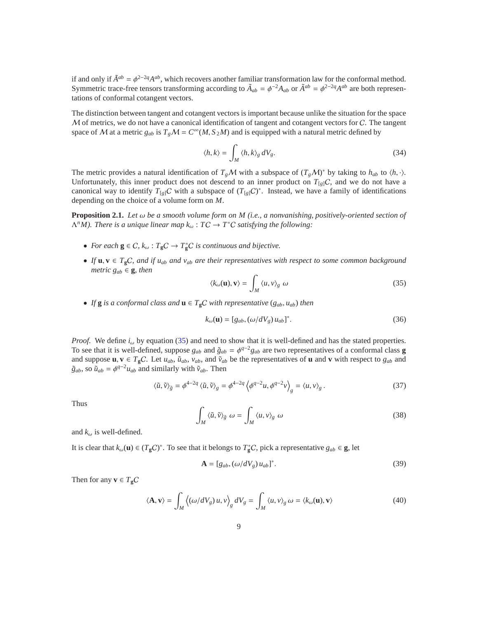if and only if  $\tilde{A}^{ab} = \phi^{2-2q} A^{ab}$ , which recovers another familiar transformation law for the conformal method. Symmetric trace-free tensors transforming according to  $\tilde{A}_{ab} = \phi^{-2} A_{ab}$  or  $\tilde{A}^{ab} = \phi^{2-2q} A^{ab}$  are both representations of conformal cotangent vectors.

The distinction between tangent and cotangent vectors is important because unlike the situation for the space M of metrics, we do not have a canonical identification of tangent and cotangent vectors for C. The tangent space of M at a metric  $g_{ab}$  is  $T_gM = C^\infty(M, S_2M)$  and is equipped with a natural metric defined by

$$
\langle h, k \rangle = \int_M \langle h, k \rangle_g \, dV_g. \tag{34}
$$

The metric provides a natural identification of  $T_gM$  with a subspace of  $(T_gM)^*$  by taking to  $h_{ab}$  to  $\langle h, \cdot \rangle$ . Unfortunately, this inner product does not descend to an inner product on  $T_{g|C}$ , and we do not have a canonical way to identify  $T_{[g]}C$  with a subspace of  $(T_{[g]}C)^*$ . Instead, we have a family of identifications depending on the choice of a volume form on *M*.

<span id="page-8-1"></span>**Proposition 2.1.** *Let* ω *be a smooth volume form on M (i.e., a nonvanishing, positively-oriented section of*  $\Lambda^n M$ ). There is a unique linear map  $k_\omega : TC \to T^*C$  satisfying the following:

- *For each*  $g \in C$ *,*  $k_{\omega}$  :  $T_gC \to T_g^*C$  *is continuous and bijective.*
- *If* **u**, **v** ∈ *T***g**C*, and if uab and vab are their representatives with respect to some common background metric*  $g_{ab} \in \mathbf{g}$ *, then*

<span id="page-8-0"></span>
$$
\langle k_{\omega}(\mathbf{u}), \mathbf{v} \rangle = \int_{M} \langle u, v \rangle_{g} \omega \tag{35}
$$

• *If* **g** *is a conformal class and*  $\mathbf{u} \in T_{\mathbf{g}}C$  *with representative* ( $g_{ab}$ ,  $u_{ab}$ ) *then* 

<span id="page-8-2"></span>
$$
k_{\omega}(\mathbf{u}) = [g_{ab}, (\omega/dV_g) u_{ab}]^*.
$$
 (36)

*Proof.* We define  $i_{\omega}$  by equation [\(35\)](#page-8-0) and need to show that it is well-defined and has the stated properties. To see that it is well-defined, suppose  $g_{ab}$  and  $\tilde{g}_{ab} = \phi^{q-2}g_{ab}$  are two representatives of a conformal class **g** and suppose  $\mathbf{u}, \mathbf{v} \in T_{\mathbf{g}}C$ . Let  $u_{ab}$ ,  $\tilde{u}_{ab}$ ,  $v_{ab}$ , and  $\tilde{v}_{ab}$  be the representatives of  $\mathbf{u}$  and  $\mathbf{v}$  with respect to  $g_{ab}$  and  $\tilde{g}_{ab}$ , so  $\tilde{u}_{ab} = \phi^{q-2}u_{ab}$  and similarly with  $\tilde{v}_{ab}$ . Then

$$
\langle \tilde{u}, \tilde{v} \rangle_{\tilde{g}} = \phi^{4-2q} \langle \tilde{u}, \tilde{v} \rangle_{g} = \phi^{4-2q} \left\langle \phi^{q-2} u, \phi^{q-2} v \right\rangle_{g} = \langle u, v \rangle_{g}.
$$
 (37)

Thus

$$
\int_{M} \langle \tilde{u}, \tilde{v} \rangle_{\tilde{g}} \omega = \int_{M} \langle u, v \rangle_{g} \omega \tag{38}
$$

and  $k_{\omega}$  is well-defined.

It is clear that  $k_\omega(\mathbf{u}) \in (T_{\mathbf{g}}C)^*$ . To see that it belongs to  $T_{\mathbf{g}}^*C$ , pick a representative  $g_{ab} \in \mathbf{g}$ , let

$$
\mathbf{A} = [g_{ab}, (\omega/dV_g) u_{ab}]^*.
$$
 (39)

Then for any  $\mathbf{v} \in T_{g}C$ 

$$
\langle \mathbf{A}, \mathbf{v} \rangle = \int_M \left\langle (\omega/dV_g) u, v \right\rangle_g dV_g = \int_M \langle u, v \rangle_g \, \omega = \langle k_\omega(\mathbf{u}), \mathbf{v} \rangle \tag{40}
$$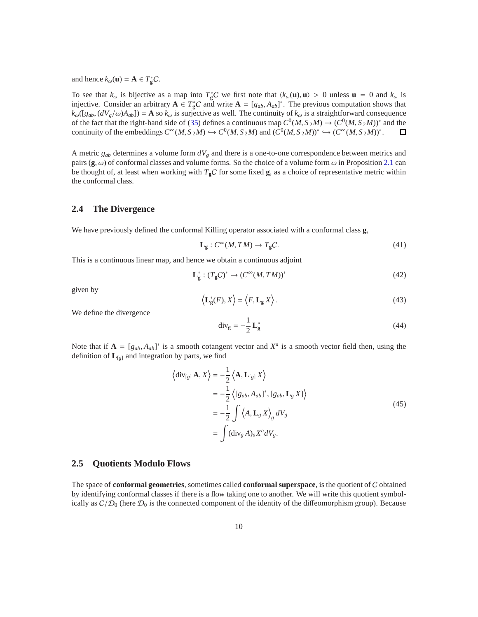and hence  $k_{\omega}(\mathbf{u}) = \mathbf{A} \in T_{\mathbf{g}}^*C$ .

To see that  $k_{\omega}$  is bijective as a map into  $T_{\rm g}^*C$  we first note that  $\langle k_{\omega}(\mathbf{u}), \mathbf{u} \rangle > 0$  unless  $\mathbf{u} = 0$  and  $k_{\omega}$  is injective. Consider an arbitrary  $A \in T_g^*C$  and write  $A = [g_{ab}, A_{ab}]^*$ . The previous computation shows that  $k_{\omega}$ ([*g*<sub>ab</sub>, ( $dV_g/\omega$ )*A*<sub>ab</sub>]) = **A** so  $k_{\omega}$  is surjective as well. The continuity of  $k_{\omega}$  is a straightforward consequence of the fact that the right-hand side of [\(35\)](#page-8-0) defines a continuous map  $C^0(M, S_2M) \to (C^0(M, S_2M))^*$  and the continuity of the embeddings  $C^{\infty}(M, S_2M) \hookrightarrow C^0(M, S_2M)$  and  $(C^0(M, S_2M))^* \hookrightarrow (C^{\infty}(M, S_2M))^*$ .  $\Box$ 

A metric *gab* determines a volume form *dV<sup>g</sup>* and there is a one-to-one correspondence between metrics and pairs ( $\bf{g}, \omega$ ) of conformal classes and volume forms. So the choice of a volume form  $\omega$  in Proposition [2.1](#page-8-1) can be thought of, at least when working with  $T_gC$  for some fixed **g**, as a choice of representative metric within the conformal class.

### **2.4 The Divergence**

We have previously defined the conformal Killing operator associated with a conformal class **g**,

$$
\mathbf{L}_{\mathbf{g}}: C^{\infty}(M, TM) \to T_{\mathbf{g}}C. \tag{41}
$$

This is a continuous linear map, and hence we obtain a continuous adjoint

$$
\mathbf{L}_{\mathbf{g}}^* : (T_{\mathbf{g}}C)^* \to (C^\infty(M, TM))^*
$$
\n(42)

given by

$$
\left\langle \mathbf{L}_{\mathbf{g}}^*(F), X \right\rangle = \left\langle F, \mathbf{L}_{\mathbf{g}} X \right\rangle. \tag{43}
$$

We define the divergence

$$
\operatorname{div}_{g} = -\frac{1}{2} \mathbf{L}_{g}^{*} \tag{44}
$$

Note that if  $A = [g_{ab}, A_{ab}]^*$  is a smooth cotangent vector and  $X^a$  is a smooth vector field then, using the definition of  $L_{[g]}$  and integration by parts, we find

<span id="page-9-0"></span>
$$
\langle \operatorname{div}_{[g]} \mathbf{A}, X \rangle = -\frac{1}{2} \langle \mathbf{A}, \mathbf{L}_{[g]} X \rangle
$$
  
\n
$$
= -\frac{1}{2} \langle [g_{ab}, A_{ab}]^*, [g_{ab}, \mathbf{L}_g X] \rangle
$$
  
\n
$$
= -\frac{1}{2} \int \langle A, \mathbf{L}_g X \rangle_g dV_g
$$
  
\n
$$
= \int (\operatorname{div}_g A)_a X^a dV_g.
$$
 (45)

#### **2.5 Quotients Modulo Flows**

The space of **conformal geometries**, sometimes called **conformal superspace**, is the quotient of C obtained by identifying conformal classes if there is a flow taking one to another. We will write this quotient symbolically as  $C/D_0$  (here  $D_0$  is the connected component of the identity of the diffeomorphism group). Because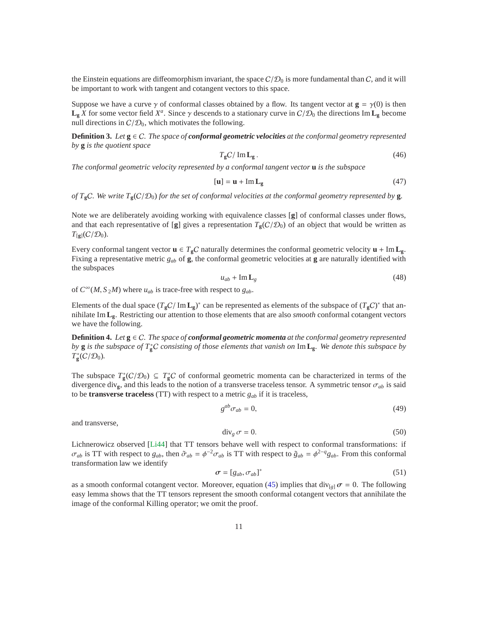the Einstein equations are diffeomorphism invariant, the space  $C/D<sub>0</sub>$  is more fundamental than C, and it will be important to work with tangent and cotangent vectors to this space.

Suppose we have a curve  $\gamma$  of conformal classes obtained by a flow. Its tangent vector at  $\mathbf{g} = \gamma(0)$  is then  $\mathbf{L}_{\mathbf{g}}$  *X* for some vector field *X<sup>a</sup>*. Since  $\gamma$  descends to a stationary curve in  $C/D_0$  the directions Im  $\mathbf{L}_{\mathbf{g}}$  become null directions in  $C/D_0$ , which motivates the following.

<span id="page-10-0"></span>**Definition 3.** Let  $g \in C$ . The space of **conformal geometric velocities** at the conformal geometry represented *by* **g** *is the quotient space*

$$
T_{\rm g}C/\rm Im\,L_{\rm g}\,. \tag{46}
$$

*The conformal geometric velocity represented by a conformal tangent vector* **u** *is the subspace*

$$
[\mathbf{u}] = \mathbf{u} + \text{Im}\,\mathbf{L}_{\mathbf{g}} \tag{47}
$$

*of T***g**C*. We write T***g**(C/D0) *for the set of conformal velocities at the conformal geometry represented by* **g***.*

Note we are deliberately avoiding working with equivalence classes [**g**] of conformal classes under flows, and that each representative of [**g**] gives a representation  $T_{\mathbf{g}}(C/\mathcal{D}_0)$  of an object that would be written as  $T_{\left[\mathbf{g}\right]}(C/\mathcal{D}_0)$ .

Every conformal tangent vector  $\mathbf{u} \in T_{g}C$  naturally determines the conformal geometric velocity  $\mathbf{u} + \text{Im }L_{g}$ . Fixing a representative metric  $g_{ab}$  of **g**, the conformal geometric velocities at **g** are naturally identified with the subspaces

$$
u_{ab} + \text{Im} \, \mathbf{L}_g \tag{48}
$$

of  $C^{\infty}(M, S_2M)$  where  $u_{ab}$  is trace-free with respect to  $g_{ab}$ .

Elements of the dual space  $(T_gC/\text{Im }L_g)^*$  can be represented as elements of the subspace of  $(T_gC)^*$  that annihilate Im **Lg**. Restricting our attention to those elements that are also *smooth* conformal cotangent vectors we have the following.

**Definition 4.** *Let* **g** ∈ C*. The space of conformal geometric momenta at the conformal geometry represented by* **g** *is the subspace of*  $T_g^*C$  *consisting of those elements that vanish on* Im **L**<sub>g</sub>*. We denote this subspace by*  $T^*_{\mathbf{g}}(C/\mathcal{D}_0)$ .

The subspace  $T_g^*(C/\mathcal{D}_0) \subseteq T_g^*C$  of conformal geometric momenta can be characterized in terms of the divergence div<sub>g</sub>, and this leads to the notion of a transverse traceless tensor. A symmetric tensor  $\sigma_{ab}$  is said to be **transverse traceless** (TT) with respect to a metric *gab* if it is traceless,

$$
g^{ab}\sigma_{ab}=0,\t\t(49)
$$

and transverse,

$$
\operatorname{div}_g \sigma = 0. \tag{50}
$$

Lichnerowicz observed [\[Li44\]](#page-33-0) that TT tensors behave well with respect to conformal transformations: if  $\sigma_{ab}$  is TT with respect to  $g_{ab}$ , then  $\tilde{\sigma}_{ab} = \phi^{-2} \sigma_{ab}$  is TT with respect to  $\tilde{g}_{ab} = \phi^{2-q} g_{ab}$ . From this conformal transformation law we identify

$$
\sigma = [g_{ab}, \sigma_{ab}]^*
$$
 (51)

as a smooth conformal cotangent vector. Moreover, equation [\(45\)](#page-9-0) implies that div<sub>[*g*]</sub>  $\sigma = 0$ . The following easy lemma shows that the TT tensors represent the smooth conformal cotangent vectors that annihilate the image of the conformal Killing operator; we omit the proof.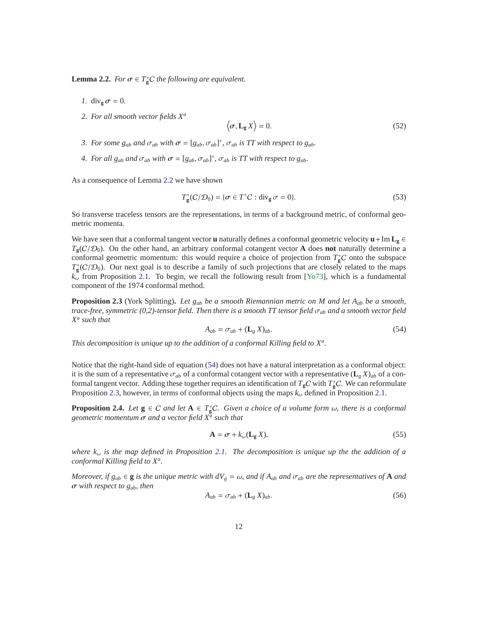<span id="page-11-0"></span>**Lemma 2.2.** *For*  $\sigma \in T_{\mathbf{g}}^*C$  *the following are equivalent.* 

- *1.* div<sub>g</sub>  $\sigma = 0$ .
- *2. For all smooth vector fields X<sup>a</sup>*

$$
\langle \sigma, \mathbf{L}_{g} X \rangle = 0. \tag{52}
$$

- *3. For some*  $g_{ab}$  *and*  $\sigma_{ab}$  *with*  $\sigma = [g_{ab}, \sigma_{ab}]^*$ ,  $\sigma_{ab}$  *is TT with respect to*  $g_{ab}$ *.*
- *4. For all*  $g_{ab}$  *and*  $\sigma_{ab}$  *with*  $\sigma = [g_{ab}, \sigma_{ab}]^*$ ,  $\sigma_{ab}$  *is TT with respect to*  $g_{ab}$ *.*

As a consequence of Lemma [2.2](#page-11-0) we have shown

$$
T_g^*(C/\mathcal{D}_0) = \{\sigma \in T^*C : \text{div}_g \sigma = 0\}.
$$
 (53)

So transverse traceless tensors are the representations, in terms of a background metric, of conformal geometric momenta.

We have seen that a conformal tangent vector **u** naturally defines a conformal geometric velocity  $\mathbf{u} + \text{Im} \mathbf{L}_{\mathbf{g}} \in$  $T_{g}(C/D_0)$ . On the other hand, an arbitrary conformal cotangent vector **A** does **not** naturally determine a conformal geometric momentum: this would require a choice of projection from  $T_g^*C$  onto the subspace  $T_{\rm g}^*(C/\mathcal{D}_0)$ . Our next goal is to describe a family of such projections that are closely related to the maps  $k_{\omega}$  from Proposition [2.1.](#page-8-1) To begin, we recall the following result from [\[Yo73\]](#page-33-1), which is a fundamental component of the 1974 conformal method.

<span id="page-11-2"></span>**Proposition 2.3** (York Splitting)**.** *Let gab be a smooth Riemannian metric on M and let Aab be a smooth, trace-free, symmetric (0,2)-tensor field. Then there is a smooth TT tensor field* σ*ab and a smooth vector field X a such that*

<span id="page-11-1"></span>
$$
A_{ab} = \sigma_{ab} + (\mathbf{L}_g \, X)_{ab}.\tag{54}
$$

*This decomposition is unique up to the addition of a conformal Killing field to X<sup>a</sup> .*

Notice that the right-hand side of equation [\(54\)](#page-11-1) does not have a natural interpretation as a conformal object: it is the sum of a representative  $\sigma_{ab}$  of a conformal cotangent vector with a representative ( $\mathbf{L}_g X$ )<sub>*ab*</sub> of a conformal tangent vector. Adding these together requires an identification of  $T_gC$  with  $T_g^*C$ . We can reformulate Proposition [2.3,](#page-11-2) however, in terms of conformal objects using the maps *k*<sup>ω</sup> defined in Proposition [2.1.](#page-8-1)

<span id="page-11-4"></span>**Proposition 2.4.** *Let*  $g \in C$  *and let*  $A \in T_g^*C$ *. Given a choice of a volume form*  $\omega$ *, there is a conformal geometric momentum* σ *and a vector field X<sup>a</sup> such that*

<span id="page-11-3"></span>
$$
\mathbf{A} = \boldsymbol{\sigma} + k_{\omega}(\mathbf{L}_{g} X),\tag{55}
$$

*where k*<sup>ω</sup> *is the map defined in Proposition [2.1.](#page-8-1) The decomposition is unique up the the addition of a conformal Killing field to X<sup>a</sup> .*

*Moreover, if*  $g_{ab} \in \mathbf{g}$  *is the unique metric with*  $dV_g = \omega$ *, and if*  $A_{ab}$  *and*  $\sigma_{ab}$  *are the representatives of* **A** *and* σ *with respect to gab, then*

$$
A_{ab} = \sigma_{ab} + (\mathbf{L}_g \, X)_{ab}.\tag{56}
$$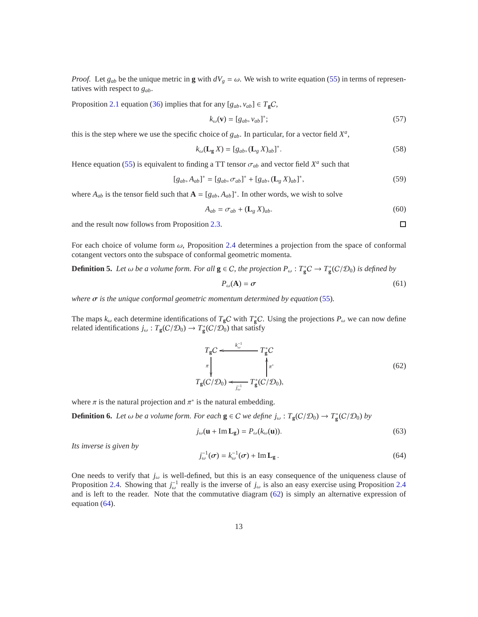*Proof.* Let  $g_{ab}$  be the unique metric in **g** with  $dV_g = \omega$ . We wish to write equation [\(55\)](#page-11-3) in terms of representatives with respect to *gab*.

Proposition [2.1](#page-8-1) equation [\(36\)](#page-8-2) implies that for any  $[g_{ab}, v_{ab}] \in T_{\mathfrak{g}}C$ ,

$$
k_{\omega}(\mathbf{v}) = [g_{ab}, v_{ab}]^*; \tag{57}
$$

this is the step where we use the specific choice of  $g_{ab}$ . In particular, for a vector field  $X^a$ ,

$$
k_{\omega}(\mathbf{L}_{g}X) = [g_{ab}, (\mathbf{L}_{g}X)_{ab}]^{*}.
$$
\n(58)

Hence equation [\(55\)](#page-11-3) is equivalent to finding a TT tensor  $\sigma_{ab}$  and vector field  $X^a$  such that

$$
[g_{ab}, A_{ab}]^* = [g_{ab}, \sigma_{ab}]^* + [g_{ab}, (\mathbf{L}_g X)_{ab}]^*,
$$
\n(59)

where  $A_{ab}$  is the tensor field such that  $A = [g_{ab}, A_{ab}]^*$ . In other words, we wish to solve

$$
A_{ab} = \sigma_{ab} + (\mathbf{L}_g \, X)_{ab}.\tag{60}
$$

 $\Box$ 

and the result now follows from Proposition [2.3.](#page-11-2)

For each choice of volume form  $\omega$ , Proposition [2.4](#page-11-4) determines a projection from the space of conformal cotangent vectors onto the subspace of conformal geometric momenta.

<span id="page-12-2"></span>**Definition 5.** Let  $\omega$  be a volume form. For all  $g \in C$ , the projection  $P_\omega : T_g^*C \to T_g^*(C/\mathcal{D}_0)$  is defined by

$$
P_{\omega}(\mathbf{A}) = \sigma \tag{61}
$$

*where*  $\sigma$  *is the unique conformal geometric momentum determined by equation* [\(55\)](#page-11-3).

The maps  $k_\omega$  each determine identifications of  $T_gC$  with  $T_g^*C$ . Using the projections  $P_\omega$  we can now define related identifications  $j_\omega : T_{\mathbf{g}}(C/\mathcal{D}_0) \to T_{\mathbf{g}}^*(C/\mathcal{D}_0)$  that satisfy

<span id="page-12-0"></span>
$$
T_{\mathbf{g}}C \leftarrow \begin{array}{c} k_{\omega}^{-1} & T_{\mathbf{g}}^*C \\ \pi \downarrow & \qquad \qquad \uparrow \pi^* \\ T_{\mathbf{g}}(C/\mathcal{D}_0) \leftarrow \frac{1}{J_{\omega}^{-1}} T_{\mathbf{g}}^*(C/\mathcal{D}_0), \end{array} \tag{62}
$$

where  $\pi$  is the natural projection and  $\pi^*$  is the natural embedding.

<span id="page-12-3"></span>**Definition 6.** *Let*  $\omega$  *be a volume form. For each*  $g \in C$  *we define*  $j_{\omega} : T_g(C/\mathcal{D}_0) \to T_g^*(C/\mathcal{D}_0)$  *by* 

<span id="page-12-4"></span>
$$
j_{\omega}(\mathbf{u} + \mathrm{Im}\,\mathbf{L}_{\mathbf{g}}) = P_{\omega}(k_{\omega}(\mathbf{u})).
$$
\n(63)

*Its inverse is given by*

<span id="page-12-1"></span>
$$
j_{\omega}^{-1}(\sigma) = k_{\omega}^{-1}(\sigma) + \operatorname{Im} \mathbf{L}_{g}.
$$
 (64)

One needs to verify that  $j_{\omega}$  is well-defined, but this is an easy consequence of the uniqueness clause of Proposition [2.4.](#page-11-4) Showing that  $j_{\omega}^{-1}$  really is the inverse of  $j_{\omega}$  is also an easy exercise using Proposition [2.4](#page-11-4) and is left to the reader. Note that the commutative diagram [\(62\)](#page-12-0) is simply an alternative expression of equation [\(64\)](#page-12-1).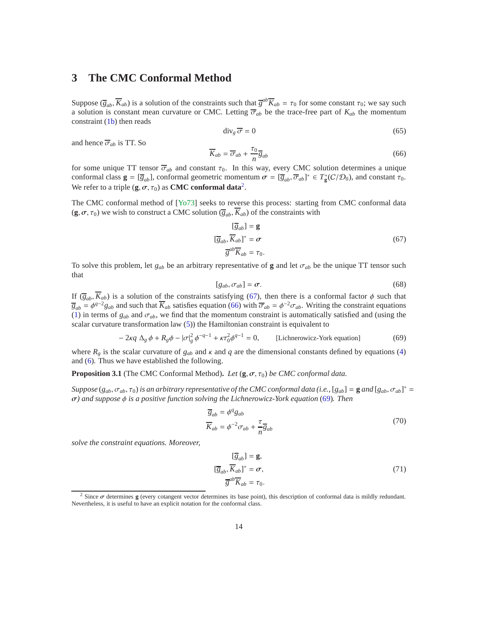# <span id="page-13-0"></span>**3 The CMC Conformal Method**

Suppose  $(\overline{g}_{ab}, \overline{K}_{ab})$  is a solution of the constraints such that  $\overline{g}^{ab}\overline{K}_{ab} = \tau_0$  for some constant  $\tau_0$ ; we say such a solution is constant mean curvature or CMC. Letting  $\overline{\sigma}_{ab}$  be the trace-free part of  $K_{ab}$  the momentum constraint [\(1b\)](#page-0-1) then reads

$$
\operatorname{div}_g \overline{\sigma} = 0 \tag{65}
$$

and hence  $\overline{\sigma}_{ab}$  is TT. So

<span id="page-13-3"></span>
$$
\overline{K}_{ab} = \overline{\sigma}_{ab} + \frac{\tau_0}{n} \overline{g}_{ab} \tag{66}
$$

for some unique TT tensor  $\overline{\sigma}_{ab}$  and constant  $\tau_0$ . In this way, every CMC solution determines a unique conformal class  $\mathbf{g} = [\overline{g}_{ab}]$ , conformal geometric momentum  $\sigma = [\overline{g}_{ab}, \overline{\sigma}_{ab}]^* \in T^*_{\mathbf{g}}(\mathcal{C}/\mathcal{D}_0)$ , and constant  $\tau_0$ . We refer to a triple  $(\mathbf{g}, \sigma, \tau_0)$  as **CMC conformal data**<sup>[2](#page-13-1)</sup>.

The CMC conformal method of [\[Yo73\]](#page-33-1) seeks to reverse this process: starting from CMC conformal data  $({\bf g}, \sigma, \tau_0)$  we wish to construct a CMC solution  $(\overline{g}_{ab}, K_{ab})$  of the constraints with

<span id="page-13-2"></span>
$$
[\overline{g}_{ab}] = \mathbf{g}
$$
  
\n
$$
[\overline{g}_{ab}, \overline{K}_{ab}]^* = \sigma
$$
  
\n
$$
\overline{g}^{ab} \overline{K}_{ab} = \tau_0.
$$
\n(67)

To solve this problem, let  $g_{ab}$  be an arbitrary representative of **g** and let  $\sigma_{ab}$  be the unique TT tensor such that

$$
[g_{ab}, \sigma_{ab}] = \sigma. \tag{68}
$$

If  $(\overline{g}_{ab}, \overline{K}_{ab})$  is a solution of the constraints satisfying [\(67\)](#page-13-2), then there is a conformal factor  $\phi$  such that  $\overline{g}_{ab} = \phi^{q-2} g_{ab}$  and such that  $\overline{K}_{ab}$  satisfies equation [\(66\)](#page-13-3) with  $\overline{\sigma}_{ab} = \phi^{-2} \sigma_{ab}$ . Writing the constraint equations [\(1\)](#page-0-0) in terms of  $g_{ab}$  and  $\sigma_{ab}$ , we find that the momentum constraint is automatically satisfied and (using the scalar curvature transformation law [\(5\)](#page-3-1)) the Hamiltonian constraint is equivalent to

<span id="page-13-4"></span>
$$
-2\kappa q \Delta_g \phi + R_g \phi - |\sigma|_g^2 \phi^{-q-1} + \kappa \tau_0^2 \phi^{q-1} = 0, \qquad \text{[Lichnerowicz-York equation]} \tag{69}
$$

where  $R_g$  is the scalar curvature of  $g_{ab}$  and  $\kappa$  and  $q$  are the dimensional constants defined by equations [\(4\)](#page-3-2) and [\(6\)](#page-3-3). Thus we have established the following.

<span id="page-13-6"></span>**Proposition 3.1** (The CMC Conformal Method). Let  $(\mathbf{g}, \sigma, \tau_0)$  be CMC conformal data.

*Suppose* ( $g_{ab}$ ,  $\sigma_{ab}$ ,  $\tau_0$ ) *is an arbitrary representative of the CMC conformal data* (*i.e.*, [ $g_{ab}$ ] = **g** *and* [ $g_{ab}$ ,  $\sigma_{ab}$ ]<sup>\*</sup> = σ*) and suppose* φ *is a positive function solving the Lichnerowicz-York equation* [\(69\)](#page-13-4)*. Then*

<span id="page-13-7"></span>
$$
\overline{g}_{ab} = \phi^q g_{ab}
$$
  

$$
\overline{K}_{ab} = \phi^{-2} \sigma_{ab} + \frac{\tau}{n} \overline{g}_{ab}
$$
 (70)

*solve the constraint equations. Moreover,*

<span id="page-13-5"></span>
$$
[\overline{g}_{ab}] = \mathbf{g},
$$
  
\n
$$
[\overline{g}_{ab}, \overline{K}_{ab}]^* = \sigma,
$$
  
\n
$$
\overline{g}^{ab} \overline{K}_{ab} = \tau_0.
$$
\n(71)

<span id="page-13-1"></span><sup>2</sup> Since σ determines **g** (every cotangent vector determines its base point), this description of conformal data is mildly redundant. Nevertheless, it is useful to have an explicit notation for the conformal class.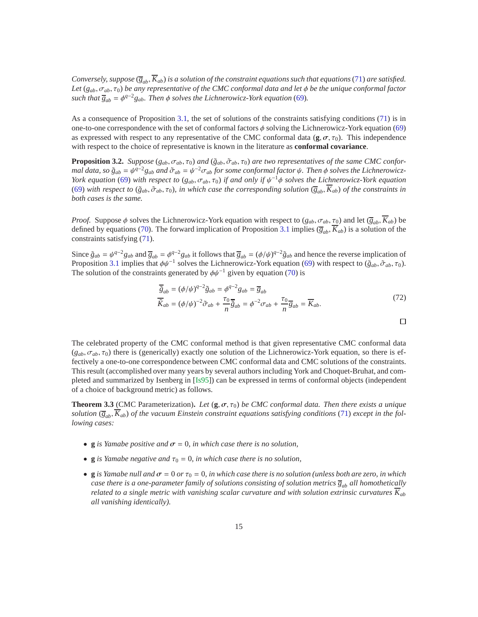*Conversely, suppose*  $(\overline{g}_{ab}, \overline{K}_{ab})$  *is a solution of the constraint equations such that equations* [\(71\)](#page-13-5) *are satisfied. Let* (*gab*, σ*ab*, τ0) *be any representative of the CMC conformal data and let* φ *be the unique conformal factor such that*  $\overline{g}_{ab} = \phi^{q-2}g_{ab}$ *. Then*  $\phi$  *solves the Lichnerowicz-York equation* [\(69\)](#page-13-4)*.* 

As a consequence of Proposition [3.1,](#page-13-6) the set of solutions of the constraints satisfying conditions [\(71\)](#page-13-5) is in one-to-one correspondence with the set of conformal factors  $\phi$  solving the Lichnerowicz-York equation [\(69\)](#page-13-4) as expressed with respect to any representative of the CMC conformal data  $(\mathbf{g}, \sigma, \tau_0)$ . This independence with respect to the choice of representative is known in the literature as **conformal covariance**.

<span id="page-14-0"></span>**Proposition 3.2.** *Suppose* ( $g_{ab}$ ,  $\sigma_{ab}$ ,  $\tau_0$ ) *and* ( $\tilde{g}_{ab}$ ,  $\tilde{\sigma}_{ab}$ ,  $\tau_0$ ) *are two representatives of the same CMC conformal data, so*  $\tilde{g}_{ab} = \psi^{q-2}g_{ab}$  and  $\tilde{\sigma}_{ab} = \psi^{-2}\sigma_{ab}$  for some conformal factor  $\psi$ . Then  $\phi$  solves the Lichnerowicz-*York equation* [\(69\)](#page-13-4) *with respect to* ( $g_{ab}$ ,  $\sigma_{ab}$ ,  $\tau_0$ ) *if and only if*  $\psi^{-1}\phi$  *solves the Lichnerowicz-York equation* [\(69\)](#page-13-4) with respect to  $(\tilde{g}_{ab}, \tilde{\sigma}_{ab}, \tau_0)$ , in which case the corresponding solution  $(\overline{g}_{ab}, \overline{K}_{ab})$  of the constraints in *both cases is the same.*

*Proof.* Suppose  $\phi$  solves the Lichnerowicz-York equation with respect to ( $g_{ab}$ ,  $\sigma_{ab}$ ,  $\tau_0$ ) and let ( $\overline{g}_{ab}$ ,  $\overline{K}_{ab}$ ) be defined by equations [\(70\)](#page-13-7). The forward implication of Proposition [3.1](#page-13-6) implies  $(\overline{g}_{ab}, K_{ab})$  is a solution of the constraints satisfying [\(71\)](#page-13-5).

Since  $\tilde{g}_{ab} = \psi^{q-2} g_{ab}$  and  $\overline{g}_{ab} = \phi^{q-2} g_{ab}$  it follows that  $\overline{g}_{ab} = (\phi/\psi)^{q-2} \tilde{g}_{ab}$  and hence the reverse implication of Proposition [3.1](#page-13-6) implies that  $\phi\psi^{-1}$  solves the Lichnerowicz-York equation [\(69\)](#page-13-4) with respect to ( $\tilde{g}_{ab}$ ,  $\tilde{\sigma}_{ab}$ ,  $\tau_0$ ). The solution of the constraints generated by  $\phi \psi^{-1}$  given by equation [\(70\)](#page-13-7) is

$$
\overline{\tilde{g}}_{ab} = (\phi/\psi)^{q-2} \tilde{g}_{ab} = \phi^{q-2} g_{ab} = \overline{g}_{ab}
$$
\n
$$
\overline{\tilde{K}}_{ab} = (\phi/\psi)^{-2} \tilde{\sigma}_{ab} + \frac{\tau_0}{n} \overline{\tilde{g}}_{ab} = \phi^{-2} \sigma_{ab} + \frac{\tau_0}{n} \overline{g}_{ab} = \overline{K}_{ab}.
$$
\n(72)

 $\Box$ 

The celebrated property of the CMC conformal method is that given representative CMC conformal data  $(g_{ab}, \sigma_{ab}, \tau_0)$  there is (generically) exactly one solution of the Lichnerowicz-York equation, so there is effectively a one-to-one correspondence between CMC conformal data and CMC solutions of the constraints. This result (accomplished over many years by several authors including York and Choquet-Bruhat, and completed and summarized by Isenberg in [\[Is95\]](#page-33-9)) can be expressed in terms of conformal objects (independent of a choice of background metric) as follows.

<span id="page-14-1"></span>**Theorem 3.3** (CMC Parameterization). Let  $(g, \sigma, \tau_0)$  be CMC conformal data. Then there exists a unique *solution* ( $\overline{g}_{ab}$ ,  $\overline{K}_{ab}$ ) *of the vacuum Einstein constraint equations satisfying conditions* [\(71\)](#page-13-5) *except in the following cases:*

- **g** *is Yamabe positive and*  $\sigma = 0$ , *in which case there is no solution*,
- **g** *is Yamabe negative and*  $\tau_0 = 0$ *, in which case there is no solution,*
- **g** *is Yamabe null and*  $\sigma = 0$  *or*  $\tau_0 = 0$ *, in which case there is no solution (unless both are zero, in which case there is a one-parameter family of solutions consisting of solution metrics*  $\overline{g}_{ab}$  *all homothetically related to a single metric with vanishing scalar curvature and with solution extrinsic curvatures*  $\overline{K}_{ab}$ *all vanishing identically).*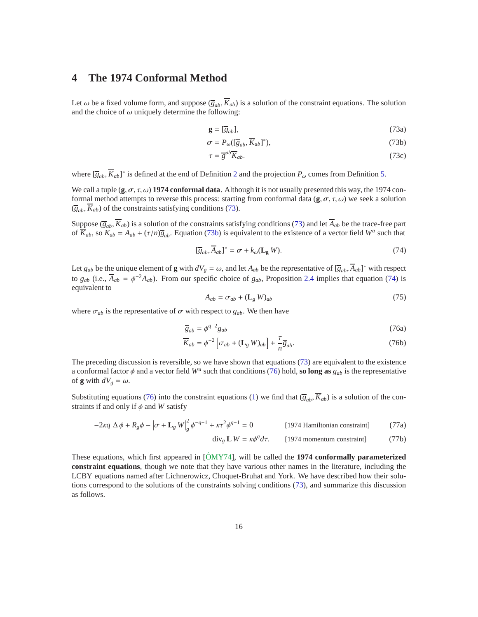# **4 The 1974 Conformal Method**

Let  $\omega$  be a fixed volume form, and suppose  $(\overline{g}_{ab}, \overline{K}_{ab})$  is a solution of the constraint equations. The solution and the choice of  $\omega$  uniquely determine the following:

<span id="page-15-0"></span>
$$
\mathbf{g} = [\overline{g}_{ab}],\tag{73a}
$$

$$
\sigma = P_{\omega}([\overline{g}_{ab}, \overline{K}_{ab}]^*), \tag{73b}
$$

<span id="page-15-1"></span>
$$
\tau = \overline{g}^{ab} \overline{K}_{ab}.
$$
 (73c)

where  $[\overline{g}_{ab}, \overline{K}_{ab}]^*$  is defined at the end of Definition [2](#page-7-0) and the projection  $P_\omega$  comes from Definition [5.](#page-12-2)

We call a tuple  $(g, \sigma, \tau, \omega)$  **1974 conformal data**. Although it is not usually presented this way, the 1974 conformal method attempts to reverse this process: starting from conformal data  $(\mathbf{g}, \sigma, \tau, \omega)$  we seek a solution  $(\overline{g}_{ab}, K_{ab})$  of the constraints satisfying conditions [\(73\)](#page-15-0).

Suppose  $(\overline{g}_{ab}, \overline{K}_{ab})$  is a solution of the constraints satisfying conditions [\(73\)](#page-15-0) and let  $\overline{A}_{ab}$  be the trace-free part of  $\overline{K}_{ab}$ , so  $K_{ab} = A_{ab} + (\tau/n)\overline{g}_{ab}$ . Equation [\(73b\)](#page-15-1) is equivalent to the existence of a vector field  $W^a$  such that

<span id="page-15-2"></span>
$$
[\overline{g}_{ab}, \overline{A}_{ab}]^* = \sigma + k_{\omega}(\mathbf{L}_g W). \tag{74}
$$

Let  $g_{ab}$  be the unique element of **g** with  $dV_g = \omega$ , and let  $A_{ab}$  be the representative of  $[\overline{g}_{ab}, \overline{A}_{ab}]^*$  with respect to  $g_{ab}$  (i.e.,  $\overline{A}_{ab} = \phi^{-2}A_{ab}$ ). From our specific choice of  $g_{ab}$ , Proposition [2.4](#page-11-4) implies that equation [\(74\)](#page-15-2) is equivalent to

<span id="page-15-6"></span><span id="page-15-3"></span>
$$
A_{ab} = \sigma_{ab} + (\mathbf{L}_g \, W)_{ab} \tag{75}
$$

where  $\sigma_{ab}$  is the representative of  $\sigma$  with respect to  $g_{ab}$ . We then have

$$
\overline{g}_{ab} = \phi^{q-2} g_{ab} \tag{76a}
$$

$$
\overline{K}_{ab} = \phi^{-2} \left[ \sigma_{ab} + (\mathbf{L}_g \ W)_{ab} \right] + \frac{\tau}{n} \overline{g}_{ab}.
$$
 (76b)

The preceding discussion is reversible, so we have shown that equations [\(73\)](#page-15-0) are equivalent to the existence a conformal factor  $\phi$  and a vector field  $W^a$  such that conditions [\(76\)](#page-15-3) hold, so long as  $g_{ab}$  is the representative of **g** with  $dV_g = \omega$ .

Substituting equations [\(76\)](#page-15-3) into the constraint equations [\(1\)](#page-0-0) we find that  $(\overline{g}_{ab}, \overline{K}_{ab})$  is a solution of the constraints if and only if  $\phi$  and *W* satisfy

$$
-2\kappa q \Delta \phi + R_g \phi - \left[\sigma + \mathbf{L}_g \, W\right]_g^2 \phi^{-q-1} + \kappa \tau^2 \phi^{q-1} = 0 \tag{1974 Hamiltonian constraint}
$$

<span id="page-15-7"></span><span id="page-15-5"></span><span id="page-15-4"></span>
$$
\text{div}_g \mathbf{L} \, W = \kappa \phi^q \, d\tau. \qquad [1974 \text{ momentum constraint}] \tag{77b}
$$

These equations, which first appeared in [\[OMY74](#page-33-2)], will be called the **1974 conformally parameterized constraint equations**, though we note that they have various other names in the literature, including the LCBY equations named after Lichnerowicz, Choquet-Bruhat and York. We have described how their solutions correspond to the solutions of the constraints solving conditions [\(73\)](#page-15-0), and summarize this discussion as follows.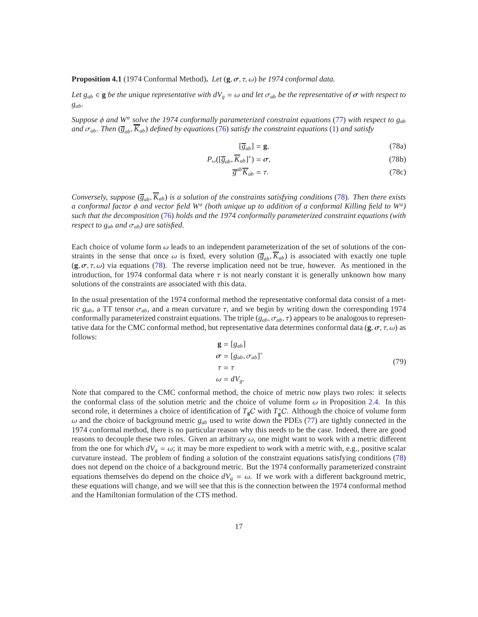**Proposition 4.1** (1974 Conformal Method)**.** *Let* (**g**, σ, τ, ω) *be 1974 conformal data.*

*Let*  $g_{ab} \in \mathbf{g}$  *be the unique representative with*  $dV_g = \omega$  *and let*  $\sigma_{ab}$  *be the representative of*  $\sigma$  *with respect to gab.*

*Suppose* φ *and* W<sup>*a*</sup> solve the 1974 conformally parameterized constraint equations [\(77\)](#page-15-4) with respect to g<sub>ab</sub> *and*  $\sigma_{ab}$ *. Then* ( $\overline{g}_{ab}$ ,  $\overline{K}_{ab}$ ) *defined by equations* [\(76\)](#page-15-3) *satisfy the constraint equations* [\(1\)](#page-0-0) *and satisfy* 

<span id="page-16-0"></span>
$$
[\overline{g}_{ab}] = \mathbf{g},\tag{78a}
$$

$$
P_{\omega}([\overline{g}_{ab}, \overline{K}_{ab}]^*) = \sigma, \qquad (78b)
$$

$$
\overline{g}^{ab}\overline{K}_{ab} = \tau. \tag{78c}
$$

*Conversely, suppose*  $(\overline{g}_{ab}, \overline{K}_{ab})$  *is a solution of the constraints satisfying conditions* [\(78\)](#page-16-0)*. Then there exists a conformal factor* φ *and vector field W<sup>a</sup> (both unique up to addition of a conformal Killing field to W<sup>a</sup> ) such that the decomposition* [\(76\)](#page-15-3) *holds and the 1974 conformally parameterized constraint equations (with respect to*  $g_{ab}$  *and*  $\sigma_{ab}$ *) are satisfied.* 

Each choice of volume form  $\omega$  leads to an independent parameterization of the set of solutions of the constraints in the sense that once  $\omega$  is fixed, every solution  $(\overline{g}_{ab}, \overline{K}_{ab})$  is associated with exactly one tuple  $(g, \sigma, \tau, \omega)$  via equations [\(78\)](#page-16-0). The reverse implication need not be true, however. As mentioned in the introduction, for 1974 conformal data where  $\tau$  is not nearly constant it is generally unknown how many solutions of the constraints are associated with this data.

In the usual presentation of the 1974 conformal method the representative conformal data consist of a metric  $g_{ab}$ , a TT tensor  $\sigma_{ab}$ , and a mean curvature τ, and we begin by writing down the corresponding 1974 conformally parameterized constraint equations. The triple (*gab*, σ*ab*, τ) appears to be analogous to representative data for the CMC conformal method, but representative data determines conformal data  $(\mathbf{g}, \sigma, \tau, \omega)$  as follows:

$$
\mathbf{g} = [g_{ab}]
$$
  
\n
$$
\sigma = [g_{ab}, \sigma_{ab}]^*
$$
  
\n
$$
\tau = \tau
$$
  
\n
$$
\omega = dV_g.
$$
\n(79)

Note that compared to the CMC conformal method, the choice of metric now plays two roles: it selects the conformal class of the solution metric and the choice of volume form  $\omega$  in Proposition [2.4.](#page-11-4) In this second role, it determines a choice of identification of  $T_gC$  with  $T_g^*C$ . Although the choice of volume form  $\omega$  and the choice of background metric  $g_{ab}$  used to write down the PDEs [\(77\)](#page-15-4) are tightly connected in the 1974 conformal method, there is no particular reason why this needs to be the case. Indeed, there are good reasons to decouple these two roles. Given an arbitrary  $\omega$ , one might want to work with a metric different from the one for which  $dV_g = \omega$ ; it may be more expedient to work with a metric with, e.g., positive scalar curvature instead. The problem of finding a solution of the constraint equations satisfying conditions [\(78\)](#page-16-0) does not depend on the choice of a background metric. But the 1974 conformally parameterized constraint equations themselves do depend on the choice  $dV_g = \omega$ . If we work with a different background metric, these equations will change, and we will see that this is the connection between the 1974 conformal method and the Hamiltonian formulation of the CTS method.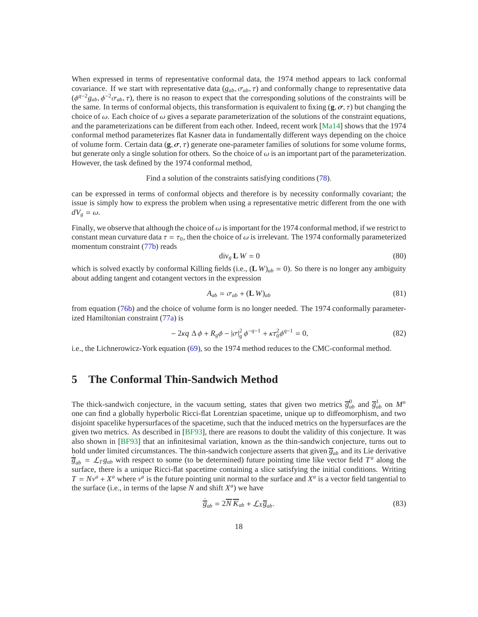When expressed in terms of representative conformal data, the 1974 method appears to lack conformal covariance. If we start with representative data  $(g_{ab}, \sigma_{ab}, \tau)$  and conformally change to representative data  $(\phi^{q-2}g_{ab}, \phi^{-2}\sigma_{ab}, \tau)$ , there is no reason to expect that the corresponding solutions of the constraints will be the same. In terms of conformal objects, this transformation is equivalent to fixing  $(\mathbf{g}, \sigma, \tau)$  but changing the choice of  $\omega$ . Each choice of  $\omega$  gives a separate parameterization of the solutions of the constraint equations, and the parameterizations can be different from each other. Indeed, recent work [\[Ma14\]](#page-33-10) shows that the 1974 conformal method parameterizes flat Kasner data in fundamentally different ways depending on the choice of volume form. Certain data  $(g, \sigma, \tau)$  generate one-parameter families of solutions for some volume forms, but generate only a single solution for others. So the choice of  $\omega$  is an important part of the parameterization. However, the task defined by the 1974 conformal method,

Find a solution of the constraints satisfying conditions [\(78\)](#page-16-0).

can be expressed in terms of conformal objects and therefore is by necessity conformally covariant; the issue is simply how to express the problem when using a representative metric different from the one with  $dV_g = \omega$ .

Finally, we observe that although the choice of  $\omega$  is important for the 1974 conformal method, if we restrict to constant mean curvature data  $\tau = \tau_0$ , then the choice of  $\omega$  is irrelevant. The 1974 conformally parameterized momentum constraint [\(77b\)](#page-15-5) reads

$$
\operatorname{div}_g \mathbf{L} \, W = 0 \tag{80}
$$

which is solved exactly by conformal Killing fields (i.e.,  $(L W)_{ab} = 0$ ). So there is no longer any ambiguity about adding tangent and cotangent vectors in the expression

$$
A_{ab} = \sigma_{ab} + (\mathbf{L} \, W)_{ab} \tag{81}
$$

from equation [\(76b\)](#page-15-6) and the choice of volume form is no longer needed. The 1974 conformally parameterized Hamiltonian constraint [\(77a\)](#page-15-7) is

$$
-2\kappa q \Delta \phi + R_g \phi - |\sigma|_g^2 \phi^{-q-1} + \kappa \tau_0^2 \phi^{q-1} = 0,
$$
\n(82)

<span id="page-17-1"></span>i.e., the Lichnerowicz-York equation [\(69\)](#page-13-4), so the 1974 method reduces to the CMC-conformal method.

# **5 The Conformal Thin-Sandwich Method**

The thick-sandwich conjecture, in the vacuum setting, states that given two metrics  $\overline{g}_{ab}^0$  and  $\overline{g}_{ab}^1$  on  $M^n$ one can find a globally hyperbolic Ricci-flat Lorentzian spacetime, unique up to diffeomorphism, and two disjoint spacelike hypersurfaces of the spacetime, such that the induced metrics on the hypersurfaces are the given two metrics. As described in [\[BF93\]](#page-32-7), there are reasons to doubt the validity of this conjecture. It was also shown in [\[BF93\]](#page-32-7) that an infinitesimal variation, known as the thin-sandwich conjecture, turns out to hold under limited circumstances. The thin-sandwich conjecture asserts that given  $\overline{g}_{ab}$  and its Lie derivative  $\frac{1}{g}$ <sub>*g<sub>ab</sub>* =  $\mathcal{L}_T g_{ab}$  with respect to some (to be determined) future pointing time like vector field  $T^a$  along the</sub> surface, there is a unique Ricci-flat spacetime containing a slice satisfying the initial conditions. Writing  $T = Nv^a + X^a$  where  $v^a$  is the future pointing unit normal to the surface and  $X^a$  is a vector field tangential to the surface (i.e., in terms of the lapse  $N$  and shift  $X^a$ ) we have

<span id="page-17-0"></span>
$$
\frac{1}{g_{ab}} = 2\overline{N}\,\overline{K}_{ab} + \mathcal{L}_X \overline{g}_{ab}.\tag{83}
$$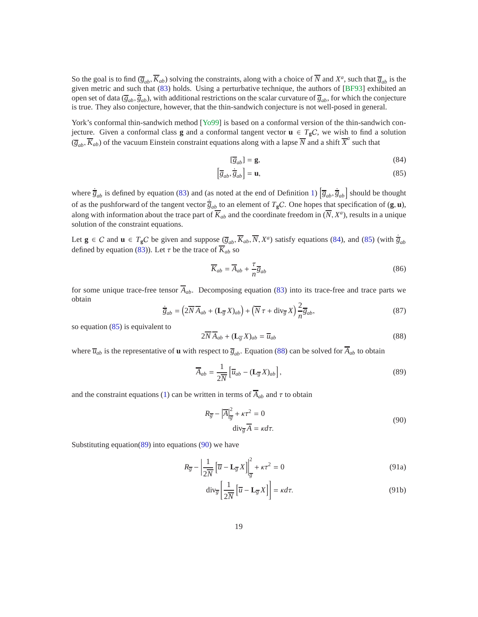So the goal is to find  $(\overline{g}_{ab}, \overline{K}_{ab})$  solving the constraints, along with a choice of  $\overline{N}$  and  $X^a$ , such that  $\overline{g}_{ab}$  is the given metric and such that [\(83\)](#page-17-0) holds. Using a perturbative technique, the authors of [\[BF93\]](#page-32-7) exhibited an open set of data ( $\bar{g}_{ab}$ ,  $\dot{\bar{g}}_{ab}$ ), with additional restrictions on the scalar curvature of  $\bar{g}_{ab}$ , for which the conjecture is true. They also conjecture, however, that the thin-sandwich conjecture is not well-posed in general.

York's conformal thin-sandwich method [\[Yo99\]](#page-33-3) is based on a conformal version of the thin-sandwich conjecture. Given a conformal class **g** and a conformal tangent vector  $\mathbf{u} \in T_{g}C$ , we wish to find a solution  $(\overline{g}_{ab}, \overline{K}_{ab})$  of the vacuum Einstein constraint equations along with a lapse  $\overline{N}$  and a shift  $\overline{X}^a$  such that

<span id="page-18-1"></span><span id="page-18-0"></span>
$$
[\overline{g}_{ab}] = \mathbf{g},\tag{84}
$$

$$
\left[\overline{g}_{ab}, \dot{\overline{g}}_{ab}\right] = \mathbf{u},\tag{85}
$$

where  $\dot{\overline{g}}_{ab}$  is defined by equation [\(83\)](#page-17-0) and (as noted at the end of Definition [1\)](#page-5-0)  $\left[\overline{g}_{ab}, \dot{\overline{g}}_{ab}\right]$  should be thought of as the pushforward of the tangent vector  $\frac{1}{g}$  to an element of  $T_gC$ . One hopes that specification of  $(g, u)$ , along with information about the trace part of  $\overline{K}_{ab}$  and the coordinate freedom in  $(\overline{N},X^a)$ , results in a unique solution of the constraint equations.

Let  $g \in C$  and  $u \in T_gC$  be given and suppose  $(\overline{g}_{ab}, \overline{K}_{ab}, \overline{N}, X^a)$  satisfy equations [\(84\)](#page-18-0), and [\(85\)](#page-18-1) (with  $\dot{\overline{g}}_{ab}$ defined by equation [\(83\)](#page-17-0)). Let  $\tau$  be the trace of  $\overline{K}_{ab}$  so

$$
\overline{K}_{ab} = \overline{A}_{ab} + \frac{\tau}{n} \overline{g}_{ab} \tag{86}
$$

for some unique trace-free tensor  $\overline{A}_{ab}$ . Decomposing equation [\(83\)](#page-17-0) into its trace-free and trace parts we obtain

$$
\dot{\overline{g}}_{ab} = \left(2\overline{N}\overline{A}_{ab} + (\mathbf{L}_{\overline{g}}X)_{ab}\right) + \left(\overline{N}\tau + \text{div}_{\overline{g}}X\right)\frac{2}{n}\overline{g}_{ab},\tag{87}
$$

so equation [\(85\)](#page-18-1) is equivalent to

<span id="page-18-2"></span>
$$
2\overline{N}\overline{A}_{ab} + (\mathbf{L}_{\overline{g}}X)_{ab} = \overline{u}_{ab} \tag{88}
$$

where  $\overline{u}_{ab}$  is the representative of **u** with respect to  $\overline{g}_{ab}$ . Equation [\(88\)](#page-18-2) can be solved for  $\overline{A}_{ab}$  to obtain

<span id="page-18-3"></span>
$$
\overline{A}_{ab} = \frac{1}{2\overline{N}} \left[ \overline{u}_{ab} - (\mathbf{L}_{\overline{g}} X)_{ab} \right],\tag{89}
$$

and the constraint equations [\(1\)](#page-0-0) can be written in terms of  $\overline{A}_{ab}$  and  $\tau$  to obtain

<span id="page-18-5"></span><span id="page-18-4"></span>
$$
R_{\overline{g}} - |\overline{A}|_{\overline{g}}^2 + \kappa \tau^2 = 0
$$
  
div <sub>$\overline{g}$</sub>   $\overline{A} = \kappa d\tau.$  (90)

Substituting equation $(89)$  into equations  $(90)$  we have

$$
R_{\overline{g}} - \left| \frac{1}{2\overline{N}} \left[ \overline{u} - \mathbf{L}_{\overline{g}} X \right] \right|_{\overline{g}}^2 + \kappa \tau^2 = 0 \tag{91a}
$$

$$
\operatorname{div}_{\overline{g}}\left[\frac{1}{2\overline{N}}\left[\overline{u} - \mathbf{L}_{\overline{g}}X\right]\right] = \kappa d\tau. \tag{91b}
$$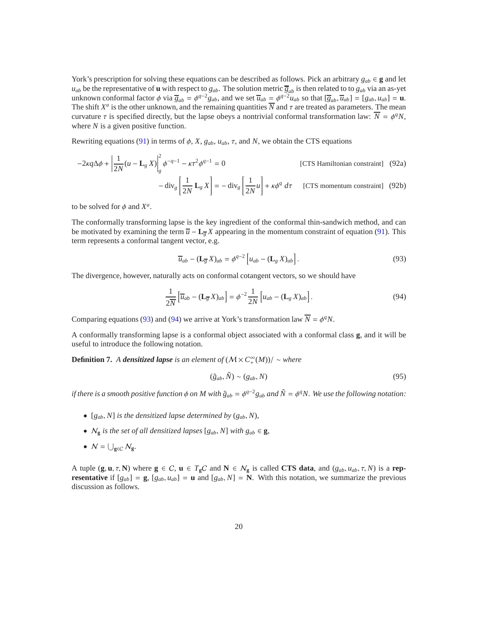York's prescription for solving these equations can be described as follows. Pick an arbitrary  $g_{ab} \in \mathbf{g}$  and let  $u_{ab}$  be the representative of **u** with respect to  $g_{ab}$ . The solution metric  $\overline{g}_{ab}$  is then related to to  $g_{ab}$  via an as-yet unknown conformal factor  $\phi$  via  $\overline{g}_{ab} = \phi^{q-2}g_{ab}$ , and we set  $\overline{u}_{ab} = \phi^{q-2}u_{ab}$  so that  $[\overline{g}_{ab}, \overline{u}_{ab}] = [g_{ab}, u_{ab}] = \mathbf{u}$ . The shift  $X^a$  is the other unknown, and the remaining quantities  $\overline{N}$  and  $\tau$  are treated as parameters. The mean curvature  $\tau$  is specified directly, but the lapse obeys a nontrivial conformal transformation law:  $\overline{N} = \phi^q N$ , where *N* is a given positive function.

Rewriting equations [\(91\)](#page-18-5) in terms of  $\phi$ , *X*,  $g_{ab}$ ,  $u_{ab}$ ,  $\tau$ , and *N*, we obtain the CTS equations

$$
-2\kappa q \Delta \phi + \left| \frac{1}{2N} (u - \mathbf{L}_g X) \right|_g^2 \phi^{-q-1} - \kappa \tau^2 \phi^{q-1} = 0
$$
 [CTS Hamiltonian constraint] (92a)  

$$
- \operatorname{div}_g \left[ \frac{1}{2N} \mathbf{L}_g X \right] = - \operatorname{div}_g \left[ \frac{1}{2N} u \right] + \kappa \phi^q d\tau
$$
 [CTS momentum constraint] (92b)

to be solved for  $\phi$  and  $X^a$ .

The conformally transforming lapse is the key ingredient of the conformal thin-sandwich method, and can be motivated by examining the term  $\overline{u}$  − **L**<sub>g</sub> X appearing in the momentum constraint of equation [\(91\)](#page-18-5). This term represents a conformal tangent vector, e.g.

<span id="page-19-2"></span><span id="page-19-0"></span>
$$
\overline{u}_{ab} - (\mathbf{L}_{\overline{g}} X)_{ab} = \phi^{q-2} \left[ u_{ab} - (\mathbf{L}_{g} X)_{ab} \right]. \tag{93}
$$

The divergence, however, naturally acts on conformal cotangent vectors, so we should have

<span id="page-19-1"></span>
$$
\frac{1}{2N} \left[ \overline{u}_{ab} - (\mathbf{L}_{\overline{g}} X)_{ab} \right] = \phi^{-2} \frac{1}{2N} \left[ u_{ab} - (\mathbf{L}_{g} X)_{ab} \right]. \tag{94}
$$

Comparing equations [\(93\)](#page-19-0) and [\(94\)](#page-19-1) we arrive at York's transformation law  $\overline{N} = \phi^q N$ .

A conformally transforming lapse is a conformal object associated with a conformal class **g**, and it will be useful to introduce the following notation.

**Definition 7.** *A densitized lapse is an element of*  $(\mathcal{M} \times C^{\infty}_+(\mathcal{M})) / \sim$  *where* 

$$
(\tilde{g}_{ab}, \tilde{N}) \sim (g_{ab}, N) \tag{95}
$$

*if there is a smooth positive function*  $\phi$  *on*  $M$  with  $\tilde{g}_{ab} = \phi^{q-2}g_{ab}$  and  $\tilde{N} = \phi^q N$ . We use the following notation:

- $[g_{ab}, N]$  *is the densitized lapse determined by*  $(g_{ab}, N)$ *,*
- $N_g$  *is the set of all densitized lapses*  $[g_{ab}, N]$  *with*  $g_{ab} \in \mathbf{g}$ *,*
- $N = \bigcup_{g \in C} N_g$ .

A tuple  $(\mathbf{g}, \mathbf{u}, \tau, \mathbf{N})$  where  $\mathbf{g} \in C$ ,  $\mathbf{u} \in T_{\mathbf{g}}C$  and  $\mathbf{N} \in N_{\mathbf{g}}$  is called **CTS data**, and  $(g_{ab}, u_{ab}, \tau, N)$  is a **representative** if  $[g_{ab}] = g$ ,  $[g_{ab}, u_{ab}] = u$  and  $[g_{ab}, N] = N$ . With this notation, we summarize the previous discussion as follows.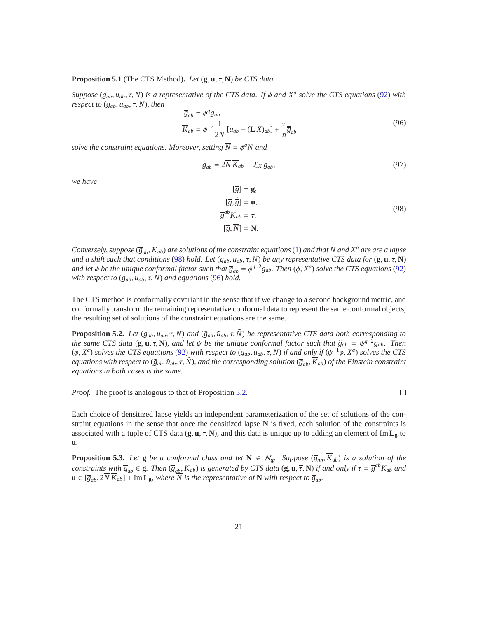#### <span id="page-20-2"></span>**Proposition 5.1** (The CTS Method)**.** *Let* (**g**, **u**, τ, **N**) *be CTS data.*

*Suppose* (*gab*, *uab*, τ, *N*) *is a representative of the CTS data. If* φ *and X<sup>a</sup> solve the CTS equations* [\(92\)](#page-19-2) *with respect to*  $(g_{ab}, u_{ab}, \tau, N)$ *, then* 

<span id="page-20-1"></span>
$$
\overline{g}_{ab} = \phi^q g_{ab}
$$
  
\n
$$
\overline{K}_{ab} = \phi^{-2} \frac{1}{2N} \left[ u_{ab} - (\mathbf{L} X)_{ab} \right] + \frac{\tau}{n} \overline{g}_{ab}
$$
\n(96)

*solve the constraint equations. Moreover, setting*  $\overline{N} = \phi^q N$  and

$$
\dot{\overline{g}}_{ab} = 2\overline{N}\,\overline{K}_{ab} + \mathcal{L}_X\,\overline{g}_{ab},\tag{97}
$$

*we have*

<span id="page-20-0"></span>
$$
[\overline{g}] = \mathbf{g},
$$
  
\n
$$
[\overline{g}, \dot{\overline{g}}] = \mathbf{u},
$$
  
\n
$$
\overline{g}^{ab} \overline{K}_{ab} = \tau,
$$
  
\n
$$
[\overline{g}, \overline{N}] = \mathbf{N}.
$$
  
\n(98)

*Conversely, suppose*  $(\overline{\varsigma}_{ab}, \overline{K}_{ab})$  *are solutions of the constraint equations* [\(1\)](#page-0-0) *and that*  $\overline{N}$  *and*  $X^a$  *are are a lapse and a shift such that conditions* [\(98\)](#page-20-0) *hold. Let* (*gab*, *uab*, τ, *N*) *be any representative CTS data for* (**g**, **u**, τ, **N**) *and let*  $\phi$  *be the unique conformal factor such that*  $\overline{g}_{ab} = \phi^{q-2}g_{ab}$ *. Then* ( $\phi$ ,  $X^a$ ) solve the CTS equations [\(92\)](#page-19-2) *with respect to* (*gab*, *uab*, τ, *N*) *and equations* [\(96\)](#page-20-1) *hold.*

The CTS method is conformally covariant in the sense that if we change to a second background metric, and conformally transform the remaining representative conformal data to represent the same conformal objects, the resulting set of solutions of the constraint equations are the same.

**Proposition 5.2.** *Let*  $(g_{ab}, u_{ab}, \tau, N)$  *and*  $(\tilde{g}_{ab}, \tilde{u}_{ab}, \tau, \tilde{N})$  *be representative CTS data both corresponding to the same CTS data* ( $g, u, \tau, N$ )*, and let*  $\psi$  *be the unique conformal factor such that*  $\tilde{g}_{ab} = \psi^{q-2}g_{ab}$ *. Then* ( $\phi$ , *X<sup>a</sup>*) *solves the CTS equations* [\(92\)](#page-19-2) *with respect to* ( $g_{ab}$ ,  $u_{ab}$ ,  $\tau$ , *N*) *if and only if* ( $\psi$ <sup>-1</sup> $\phi$ , *X*<sup>a</sup>) *solves the CTS equations with respect to* ( $\tilde{g}_{ab}$ ,  $\tilde{u}_{ab}$ ,  $\tau$ ,  $\tilde{N}$ ), and the corresponding solution ( $\overline{g}_{ab}$ ,  $\overline{K}_{ab}$ ) of the Einstein constraint *equations in both cases is the same.*

*Proof.* The proof is analogous to that of Proposition [3.2.](#page-14-0)

Each choice of densitized lapse yields an independent parameterization of the set of solutions of the constraint equations in the sense that once the densitized lapse **N** is fixed, each solution of the constraints is associated with a tuple of CTS data  $(\mathbf{g}, \mathbf{u}, \tau, \mathbf{N})$ , and this data is unique up to adding an element of Im  $\mathbf{L}_{g}$  to **u**.

<span id="page-20-3"></span>**Proposition 5.3.** Let **g** be a conformal class and let  $N \in \mathcal{N}_g$ . Suppose  $(\overline{g}_{ab}, \overline{K}_{ab})$  is a solution of the constraints with  $\overline{g}_{ab} \in \mathbf{g}$ . Then  $(\overline{g}_{ab}, \overline{K}_{ab})$  is generated by CTS data  $(\mathbf{g}, \mathbf{u}, \overline{\tau}, \mathbf{N})$  if and only if  $\tau = \overline{g}^{ab} K_{ab}$  and  $\mathbf{u} \in [\overline{g}_{ab}, 2\overline{N} \overline{K}_{ab}] + \text{Im } \mathbf{L_g}$ , where  $\overline{N}$  is the representative of  $\mathbf{N}$  with respect to  $\overline{g}_{ab}$ .

 $\Box$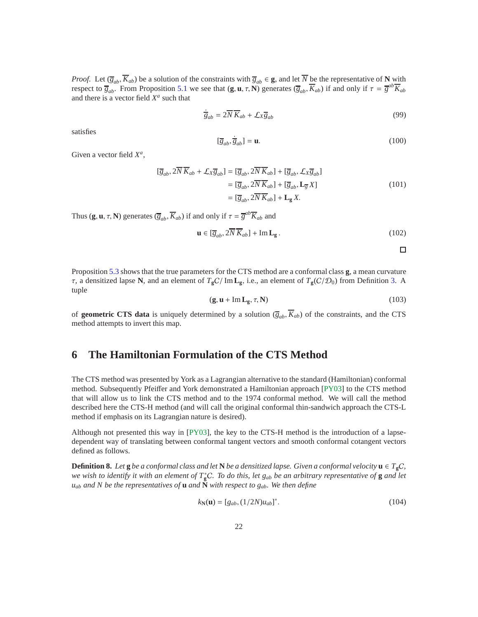*Proof.* Let  $(\overline{g}_{ab}, \overline{K}_{ab})$  be a solution of the constraints with  $\overline{g}_{ab} \in \mathbf{g}$ , and let  $\overline{N}$  be the representative of **N** with respect to  $\overline{g}_{ab}$ . From Proposition [5.1](#page-20-2) we see that  $(\mathbf{g}, \mathbf{u}, \tau, \mathbf{N})$  generates  $(\overline{g}_{ab}, \overline{K}_{ab})$  if and only if  $\tau = \overline{g}^{ab}\overline{K}_{ab}$ and there is a vector field  $X^a$  such that

$$
\dot{\overline{g}}_{ab} = 2\overline{N}\,\overline{K}_{ab} + \mathcal{L}_X \overline{g}_{ab} \tag{99}
$$

satisfies

$$
[\overline{g}_{ab}, \dot{\overline{g}}_{ab}] = \mathbf{u}.\tag{100}
$$

Given a vector field  $X^a$ ,

$$
[\overline{g}_{ab}, 2\overline{N}\overline{K}_{ab} + \mathcal{L}_X \overline{g}_{ab}] = [\overline{g}_{ab}, 2\overline{N}\overline{K}_{ab}] + [\overline{g}_{ab}, \mathcal{L}_X \overline{g}_{ab}]
$$
  
\n
$$
= [\overline{g}_{ab}, 2\overline{N}\overline{K}_{ab}] + [\overline{g}_{ab}, \mathbf{L}_{\overline{g}} X]
$$
  
\n
$$
= [\overline{g}_{ab}, 2\overline{N}\overline{K}_{ab}] + \mathbf{L}_{\mathbf{g}} X.
$$
 (101)

Thus  $(\mathbf{g}, \mathbf{u}, \tau, \mathbf{N})$  generates  $(\overline{g}_{ab}, \overline{K}_{ab})$  if and only if  $\tau = \overline{g}^{ab}\overline{K}_{ab}$  and

$$
\mathbf{u} \in [\overline{g}_{ab}, 2\overline{N}\,\overline{K}_{ab}] + \mathrm{Im}\,\mathbf{L}_{\mathbf{g}}\,. \tag{102}
$$

 $\Box$ 

Proposition [5.3](#page-20-3) shows that the true parameters for the CTS method are a conformal class **g**, a mean curvature  $\tau$ , a densitized lapse **N**, and an element of  $T_{\rm g}C/\rm{Im} L_{\rm g}$ , i.e., an element of  $T_{\rm g}(C/\mathcal{D}_0)$  from Definition [3.](#page-10-0) A tuple

$$
(\mathbf{g}, \mathbf{u} + \mathrm{Im} \, \mathbf{L}_{\mathbf{g}}, \tau, \mathbf{N}) \tag{103}
$$

of **geometric CTS data** is uniquely determined by a solution  $(\overline{g}_{ab}, \overline{K}_{ab})$  of the constraints, and the CTS method attempts to invert this map.

# <span id="page-21-0"></span>**6 The Hamiltonian Formulation of the CTS Method**

The CTS method was presented by York as a Lagrangian alternative to the standard (Hamiltonian) conformal method. Subsequently Pfeiffer and York demonstrated a Hamiltonian approach [\[PY03\]](#page-33-4) to the CTS method that will allow us to link the CTS method and to the 1974 conformal method. We will call the method described here the CTS-H method (and will call the original conformal thin-sandwich approach the CTS-L method if emphasis on its Lagrangian nature is desired).

Although not presented this way in [\[PY03\]](#page-33-4), the key to the CTS-H method is the introduction of a lapsedependent way of translating between conformal tangent vectors and smooth conformal cotangent vectors defined as follows.

<span id="page-21-2"></span>**Definition 8.** Let **g** *be a conformal class and let*  $N$  *be a densitized lapse. Given a conformal velocity*  $u \in T_gC$ , *we wish to identify it with an element of T*<sup>∗</sup> **<sup>g</sup>**C*. To do this, let gab be an arbitrary representative of* **g** *and let uab and N be the representatives of* **u** *and* **N** *with respect to gab. We then define*

<span id="page-21-1"></span>
$$
k_{\mathbf{N}}(\mathbf{u}) = [g_{ab}, (1/2N)u_{ab}]^*.
$$
 (104)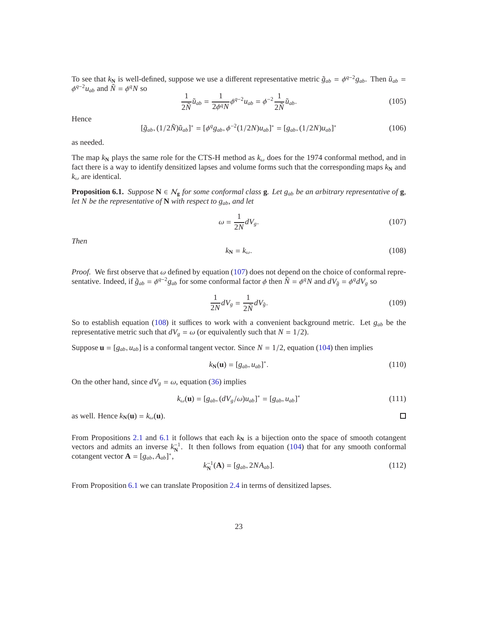To see that  $k_N$  is well-defined, suppose we use a different representative metric  $\tilde{g}_{ab} = \phi^{q-2}g_{ab}$ . Then  $\tilde{u}_{ab} =$  $\phi^{q-2}u_{ab}$  and  $\tilde{N} = \phi^q N$  so

$$
\frac{1}{2\tilde{N}}\tilde{u}_{ab} = \frac{1}{2\phi^q N} \phi^{q-2} u_{ab} = \phi^{-2} \frac{1}{2\tilde{N}} \tilde{u}_{ab}.
$$
\n(105)

Hence

$$
[\tilde{g}_{ab}, (1/2\tilde{N})\tilde{u}_{ab}]^* = [\phi^q g_{ab}, \phi^{-2}(1/2N)u_{ab}]^* = [g_{ab}, (1/2N)u_{ab}]^*
$$
(106)

as needed.

The map  $k_N$  plays the same role for the CTS-H method as  $k_\omega$  does for the 1974 conformal method, and in fact there is a way to identify densitized lapses and volume forms such that the corresponding maps  $k_N$  and  $k_{\omega}$  are identical.

<span id="page-22-2"></span>**Proposition 6.1.** *Suppose*  $N \in N_g$  *for some conformal class* **g***. Let*  $g_{ab}$  *be an arbitrary representative of* **g***, let N be the representative of* **N** *with respect to gab, and let*

<span id="page-22-0"></span>
$$
\omega = \frac{1}{2N} dV_g. \tag{107}
$$

*Then*

<span id="page-22-1"></span>
$$
k_{\mathbf{N}} = k_{\omega}.\tag{108}
$$

*Proof.* We first observe that  $\omega$  defined by equation [\(107\)](#page-22-0) does not depend on the choice of conformal representative. Indeed, if  $\tilde{g}_{ab} = \phi^{q-2}g_{ab}$  for some conformal factor  $\phi$  then  $\tilde{N} = \phi^q N$  and  $dV_{\tilde{g}} = \phi^q dV_g$  so

$$
\frac{1}{2N}dV_g = \frac{1}{2\tilde{N}}dV_{\tilde{g}}.\tag{109}
$$

So to establish equation [\(108\)](#page-22-1) it suffices to work with a convenient background metric. Let *gab* be the representative metric such that  $dV_g = \omega$  (or equivalently such that  $N = 1/2$ ).

Suppose  $\mathbf{u} = [g_{ab}, u_{ab}]$  is a conformal tangent vector. Since  $N = 1/2$ , equation [\(104\)](#page-21-1) then implies

$$
k_{\mathbf{N}}(\mathbf{u}) = [g_{ab}, u_{ab}]^*.
$$
 (110)

 $\Box$ 

On the other hand, since  $dV_g = \omega$ , equation [\(36\)](#page-8-2) implies

$$
k_{\omega}(\mathbf{u}) = [g_{ab}, (dV_g/\omega)u_{ab}]^* = [g_{ab}, u_{ab}]^*
$$
\n(111)

as well. Hence  $k_N(\mathbf{u}) = k_\omega(\mathbf{u})$ .

From Propositions [2.1](#page-8-1) and [6.1](#page-22-2) it follows that each  $k_N$  is a bijection onto the space of smooth cotangent vectors and admits an inverse  $k_N^{-1}$ . It then follows from equation [\(104\)](#page-21-1) that for any smooth conformal cotangent vector  $\mathbf{A} = [g_{ab}, A_{ab}]^*$ ,

$$
k_N^{-1}(\mathbf{A}) = [g_{ab}, 2NA_{ab}].
$$
\n(112)

From Proposition [6.1](#page-22-2) we can translate Proposition [2.4](#page-11-4) in terms of densitized lapses.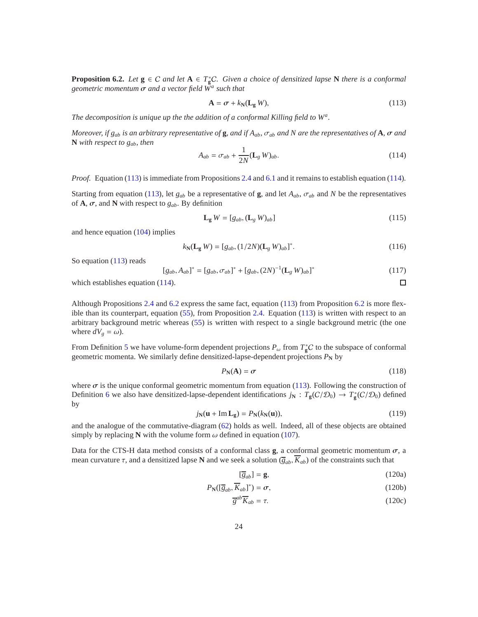<span id="page-23-2"></span>**Proposition 6.2.** *Let*  $g \in C$  *and let*  $A \in T_g^*C$ *. Given a choice of densitized lapse* **N** *there is a conformal geometric momentum* σ *and a vector field W<sup>a</sup> such that*

<span id="page-23-0"></span>
$$
\mathbf{A} = \boldsymbol{\sigma} + k_{\mathbf{N}}(\mathbf{L}_{\mathbf{g}} \, W),\tag{113}
$$

*The decomposition is unique up the the addition of a conformal Killing field to W<sup>a</sup> .*

*Moreover, if gab is an arbitrary representative of* **g***, and if Aab,* σ*ab and N are the representatives of* **A***,* σ *and* **N** *with respect to gab, then*

<span id="page-23-1"></span>
$$
A_{ab} = \sigma_{ab} + \frac{1}{2N} (\mathbf{L}_g \ W)_{ab}.
$$
 (114)

*Proof.* Equation [\(113\)](#page-23-0) is immediate from Propositions [2.4](#page-11-4) and [6.1](#page-22-2) and it remains to establish equation [\(114\)](#page-23-1).

Starting from equation [\(113\)](#page-23-0), let  $g_{ab}$  be a representative of **g**, and let  $A_{ab}$ ,  $\sigma_{ab}$  and *N* be the representatives of  $\mathbf{A}, \sigma$ , and  $\mathbf{N}$  with respect to  $g_{ab}$ . By definition

$$
\mathbf{L}_{g}W = [g_{ab}, (\mathbf{L}_{g}W)_{ab}] \tag{115}
$$

and hence equation [\(104\)](#page-21-1) implies

$$
k_{\mathbf{N}}(\mathbf{L}_{\mathbf{g}} W) = [g_{ab}, (1/2N)(\mathbf{L}_{g} W)_{ab}]^{*}.
$$
 (116)

So equation [\(113\)](#page-23-0) reads

$$
[g_{ab}, A_{ab}]^* = [g_{ab}, \sigma_{ab}]^* + [g_{ab}, (2N)^{-1} (\mathbf{L}_g \, W)_{ab}]^*
$$
 (117)

which establishes equation [\(114\)](#page-23-1).

Although Propositions [2.4](#page-11-4) and [6.2](#page-23-2) express the same fact, equation [\(113\)](#page-23-0) from Proposition [6.2](#page-23-2) is more flexible than its counterpart, equation [\(55\)](#page-11-3), from Proposition [2.4.](#page-11-4) Equation [\(113\)](#page-23-0) is written with respect to an arbitrary background metric whereas [\(55\)](#page-11-3) is written with respect to a single background metric (the one where  $dV_g = \omega$ ).

From Definition [5](#page-12-2) we have volume-form dependent projections  $P_{\omega}$  from  $T_g^*C$  to the subspace of conformal geometric momenta. We similarly define densitized-lapse-dependent projections  $P_N$  by

$$
P_{\mathbf{N}}(\mathbf{A}) = \sigma \tag{118}
$$

 $\Box$ 

where  $\sigma$  is the unique conformal geometric momentum from equation [\(113\)](#page-23-0). Following the construction of Definition [6](#page-12-3) we also have densitized-lapse-dependent identifications  $j_N$  :  $T_g(C/\mathcal{D}_0) \to T_g^*(C/\mathcal{D}_0)$  defined by

<span id="page-23-5"></span>
$$
j_{\mathbf{N}}(\mathbf{u} + \mathrm{Im}\,\mathbf{L}_{\mathbf{g}}) = P_{\mathbf{N}}(k_{\mathbf{N}}(\mathbf{u})),\tag{119}
$$

and the analogue of the commutative-diagram [\(62\)](#page-12-0) holds as well. Indeed, all of these objects are obtained simply by replacing **N** with the volume form  $\omega$  defined in equation [\(107\)](#page-22-0).

Data for the CTS-H data method consists of a conformal class **g**, a conformal geometric momentum  $\sigma$ , a mean curvature  $\tau$ , and a densitized lapse **N** and we seek a solution  $(\overline{g}_{ab}, \overline{K}_{ab})$  of the constraints such that

<span id="page-23-4"></span><span id="page-23-3"></span>
$$
[\overline{g}_{ab}] = \mathbf{g},\tag{120a}
$$

$$
P_{\mathbf{N}}([\overline{g}_{ab}, \overline{K}_{ab}]^*) = \sigma,\tag{120b}
$$

$$
\overline{g}^{ab}\overline{K}_{ab} = \tau. \tag{120c}
$$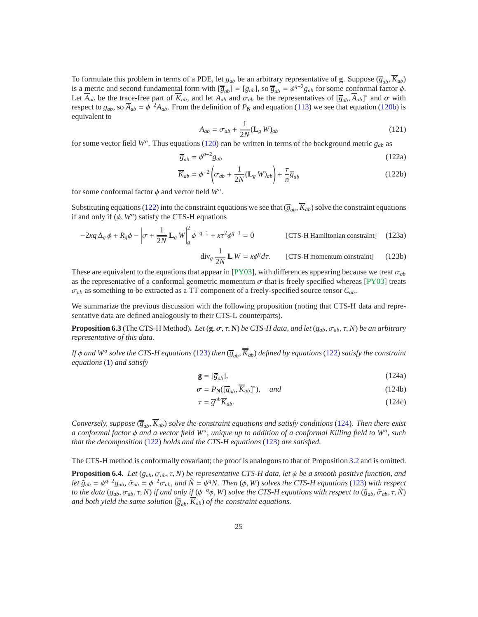To formulate this problem in terms of a PDE, let  $g_{ab}$  be an arbitrary representative of **g**. Suppose  $(\overline{g}_{ab}, \overline{K}_{ab})$ is a metric and second fundamental form with  $[\overline{g}_{ab}] = [g_{ab}]$ , so  $\overline{g}_{ab} = \phi^{q-2}g_{ab}$  for some conformal factor  $\phi$ . Let  $\overline{A}_{ab}$  be the trace-free part of  $\overline{K}_{ab}$ , and let  $A_{ab}$  and  $\sigma_{ab}$  be the representatives of  $[\overline{g}_{ab}, \overline{A}_{ab}]^*$  and  $\sigma$  with respect to  $g_{ab}$ , so  $\overline{A}_{ab} = \phi^{-2}A_{ab}$ . From the definition of  $P_N$  and equation [\(113\)](#page-23-0) we see that equation [\(120b\)](#page-23-3) is equivalent to

<span id="page-24-0"></span>
$$
A_{ab} = \sigma_{ab} + \frac{1}{2N} (\mathbf{L}_g \, W)_{ab} \tag{121}
$$

for some vector field *W<sup>a</sup>* . Thus equations [\(120\)](#page-23-4) can be written in terms of the background metric *gab* as

$$
\overline{g}_{ab} = \phi^{q-2} g_{ab} \tag{122a}
$$

$$
\overline{K}_{ab} = \phi^{-2} \left( \sigma_{ab} + \frac{1}{2N} (\mathbf{L}_g \, W)_{ab} \right) + \frac{\tau}{n} \overline{g}_{ab} \tag{122b}
$$

for some conformal factor  $\phi$  and vector field  $W^a$ .

Substituting equations [\(122\)](#page-24-0) into the constraint equations we see that  $(\overline{g}_{ab}, \overline{K}_{ab})$  solve the constraint equations if and only if  $(\phi, W^a)$  satisfy the CTS-H equations

$$
-2\kappa q \Delta_g \phi + R_g \phi - \left| \sigma + \frac{1}{2N} \mathbf{L}_g W \right|_g^2 \phi^{-q-1} + \kappa \tau^2 \phi^{q-1} = 0
$$
 [CTS-H Hamiltonian constraint] (123a)

<span id="page-24-1"></span>
$$
\text{div}_g \frac{1}{2N} \mathbf{L} \, W = \kappa \phi^q \, d\tau. \qquad \text{[CTS-H momentum constraint]} \tag{123b}
$$

These are equivalent to the equations that appear in [\[PY03\]](#page-33-4), with differences appearing because we treat  $\sigma_{ab}$ as the representative of a conformal geometric momentum  $\sigma$  that is freely specified whereas [\[PY03\]](#page-33-4) treats σ*ab* as something to be extracted as a TT component of a freely-specified source tensor *Cab*.

We summarize the previous discussion with the following proposition (noting that CTS-H data and representative data are defined analogously to their CTS-L counterparts).

**Proposition 6.3** (The CTS-H Method). Let  $(g, \sigma, \tau, N)$  be CTS-H data, and let  $(g_{ab}, \sigma_{ab}, \tau, N)$  be an arbitrary *representative of this data.*

*If* φ *and W<sup>a</sup> solve the CTS-H equations*[\(123\)](#page-24-1) *then* (*gab*, *Kab*) *defined by equations*[\(122\)](#page-24-0) *satisfy the constraint equations* [\(1\)](#page-0-0) *and satisfy*

<span id="page-24-2"></span>
$$
\mathbf{g} = [\overline{g}_{ab}],\tag{124a}
$$

$$
\sigma = P_{\mathbf{N}}([\overline{g}_{ab}, \overline{K}_{ab}]^*), \quad and \tag{124b}
$$

$$
\tau = \overline{g}^{ab} \overline{K}_{ab}.
$$
\n(124c)

*Conversely, suppose*  $(\overline{g}_{ab}, \overline{K}_{ab})$  *solve the constraint equations and satisfy conditions* [\(124\)](#page-24-2)*. Then there exist a conformal factor* φ *and a vector field W<sup>a</sup> , unique up to addition of a conformal Killing field to W<sup>a</sup> , such that the decomposition* [\(122\)](#page-24-0) *holds and the CTS-H equations* [\(123\)](#page-24-1) *are satisfied.*

The CTS-H method is conformally covariant; the proof is analogous to that of Proposition [3.2](#page-14-0) and is omitted.

**Proposition 6.4.** *Let* ( $g_{ab}$ ,  $\sigma_{ab}$ ,  $\tau$ , N) *be representative CTS-H data, let*  $\psi$  *be a smooth positive function, and let*  $\tilde{g}_{ab} = \psi^{q-2}g_{ab}$ ,  $\tilde{\sigma}_{ab} = \phi^{-2}\sigma_{ab}$ , and  $\tilde{N} = \psi^q N$ . Then  $(\phi, W)$  solves the CTS-H equations [\(123\)](#page-24-1) with respect *to the data* ( $g_{ab}$ ,  $\sigma_{ab}$ ,  $\tau$ ,  $N$ ) *if and only if* ( $\psi^{-q}\phi$ ,  $W$ ) *solve the CTS-H equations with respect to* ( $\tilde{g}_{ab}$ ,  $\tilde{\sigma}_{ab}$ ,  $\tau$ ,  $\tilde{N}$ ) *and both yield the same solution*  $(\overline{g}_{ab}, \overline{K}_{ab})$  *of the constraint equations.*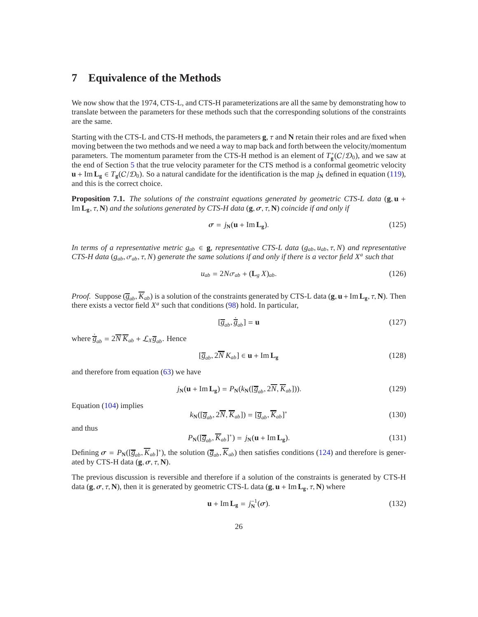# <span id="page-25-0"></span>**7 Equivalence of the Methods**

We now show that the 1974, CTS-L, and CTS-H parameterizations are all the same by demonstrating how to translate between the parameters for these methods such that the corresponding solutions of the constraints are the same.

Starting with the CTS-L and CTS-H methods, the parameters **g**, τ and **N** retain their roles and are fixed when moving between the two methods and we need a way to map back and forth between the velocity/momentum parameters. The momentum parameter from the CTS-H method is an element of  $T_g^*(C/\mathcal{D}_0)$ , and we saw at the end of Section [5](#page-17-1) that the true velocity parameter for the CTS method is a conformal geometric velocity **u** + Im **L**<sub>**g**</sub> ∈ *T*<sub>**g**</sub>(C/ $\mathcal{D}_0$ ). So a natural candidate for the identification is the map *j*<sub>N</sub> defined in equation [\(119\)](#page-23-5), and this is the correct choice.

<span id="page-25-2"></span>**Proposition 7.1.** *The solutions of the constraint equations generated by geometric CTS-L data* (**g**, **u** + Im **Lg**, τ, **N**) *and the solutions generated by CTS-H data* (**g**, σ, τ, **N**) *coincide if and only if*

$$
\sigma = j_{\rm N}(\mathbf{u} + \mathrm{Im}\, \mathbf{L}_{\mathbf{g}}). \tag{125}
$$

*In terms of a representative metric*  $g_{ab} \in \mathbf{g}$ *, representative CTS-L data* ( $g_{ab}, u_{ab}, \tau, N$ ) *and representative CTS-H data* ( $g_{ab}$ ,  $\sigma_{ab}$ ,  $\tau$ , N) generate the same solutions if and only if there is a vector field  $X^a$  such that

$$
u_{ab} = 2N\sigma_{ab} + (\mathbf{L}_g X)_{ab}.\tag{126}
$$

*Proof.* Suppose  $(\overline{g}_{ab}, \overline{K}_{ab})$  is a solution of the constraints generated by CTS-L data  $(g, u + Im L_g, \tau, N)$ . Then there exists a vector field  $X^a$  such that conditions [\(98\)](#page-20-0) hold. In particular,

$$
[\overline{g}_{ab}, \dot{\overline{g}}_{ab}] = \mathbf{u} \tag{127}
$$

where  $\dot{\overline{g}}_{ab} = 2\overline{N}\,\overline{K}_{ab} + \mathcal{L}_X \overline{g}_{ab}$ . Hence

$$
[\overline{g}_{ab}, 2\overline{N} K_{ab}] \in \mathbf{u} + \text{Im} \, \mathbf{L}_{\mathbf{g}} \tag{128}
$$

and therefore from equation [\(63\)](#page-12-4) we have

$$
j_{\mathbf{N}}(\mathbf{u} + \mathrm{Im}\,\mathbf{L}_{\mathbf{g}}) = P_{\mathbf{N}}(k_{\mathbf{N}}([\overline{g}_{ab}, 2\overline{N}, \overline{K}_{ab}])). \tag{129}
$$

Equation [\(104\)](#page-21-1) implies

$$
k_{\mathbf{N}}([\overline{g}_{ab}, 2\overline{N}, \overline{K}_{ab}]) = [\overline{g}_{ab}, \overline{K}_{ab}]^*
$$
\n(130)

and thus

$$
P_{\mathbf{N}}([\overline{g}_{ab}, \overline{K}_{ab}]^*) = j_{\mathbf{N}}(\mathbf{u} + \mathrm{Im}\, \mathbf{L}_{\mathbf{g}}).
$$
 (131)

Defining  $\sigma = P_N([\overline{g}_{ab}, \overline{K}_{ab}]^*)$ , the solution  $(\overline{g}_{ab}, \overline{K}_{ab})$  then satisfies conditions [\(124\)](#page-24-2) and therefore is generated by CTS-H data  $(\mathbf{g}, \sigma, \tau, \mathbf{N})$ .

The previous discussion is reversible and therefore if a solution of the constraints is generated by CTS-H data  $(\mathbf{g}, \sigma, \tau, \mathbf{N})$ , then it is generated by geometric CTS-L data  $(\mathbf{g}, \mathbf{u} + \text{Im} \mathbf{L}_{\mathbf{g}}, \tau, \mathbf{N})$  where

<span id="page-25-1"></span>
$$
\mathbf{u} + \mathrm{Im} \, \mathbf{L}_{\mathbf{g}} = j_{\mathbf{N}}^{-1}(\sigma). \tag{132}
$$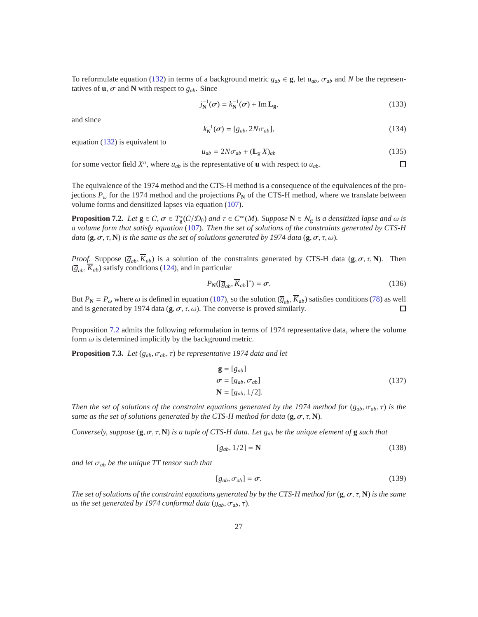To reformulate equation [\(132\)](#page-25-1) in terms of a background metric  $g_{ab} \in \mathbf{g}$ , let  $u_{ab}$ ,  $\sigma_{ab}$  and N be the representatives of  $\mathbf{u}$ ,  $\sigma$  and  $\mathbf{N}$  with respect to  $g_{ab}$ . Since

$$
j_{\mathbf{N}}^{-1}(\sigma) = k_{\mathbf{N}}^{-1}(\sigma) + \mathrm{Im} \, \mathbf{L}_{\mathbf{g}},\tag{133}
$$

and since

$$
k_{\mathbf{N}}^{-1}(\boldsymbol{\sigma}) = [g_{ab}, 2N\sigma_{ab}], \qquad (134)
$$

equation [\(132\)](#page-25-1) is equivalent to

$$
u_{ab} = 2N\sigma_{ab} + (\mathbf{L}_g X)_{ab} \tag{135}
$$

 $\Box$ 

for some vector field  $X^a$ , where  $u_{ab}$  is the representative of **u** with respect to  $u_{ab}$ .

The equivalence of the 1974 method and the CTS-H method is a consequence of the equivalences of the projections  $P_{\omega}$  for the 1974 method and the projections  $P_{\rm N}$  of the CTS-H method, where we translate between volume forms and densitized lapses via equation [\(107\)](#page-22-0).

<span id="page-26-0"></span>**Proposition 7.2.** *Let*  $g \in C$ ,  $\sigma \in T_g^*(C/\mathcal{D}_0)$  *and*  $\tau \in C^\infty(M)$ *. Suppose*  $N \in \mathcal{N}_g$  *is a densitized lapse and*  $\omega$  *is a volume form that satisfy equation* [\(107\)](#page-22-0)*. Then the set of solutions of the constraints generated by CTS-H data* (**g**,  $\sigma$ ,  $\tau$ , **N**) *is the same as the set of solutions generated by 1974 data* (**g**,  $\sigma$ ,  $\tau$ ,  $\omega$ )*.* 

*Proof.* Suppose  $(\bar{g}_{ab}, \bar{K}_{ab})$  is a solution of the constraints generated by CTS-H data  $(\mathbf{g}, \sigma, \tau, \mathbf{N})$ . Then  $(\overline{g}_{ab}, \overline{K}_{ab})$  satisfy conditions [\(124\)](#page-24-2), and in particular

$$
P_{\mathbf{N}}([\overline{g}_{ab}, \overline{K}_{ab}]^*) = \sigma.
$$
 (136)

But  $P_N = P_\omega$  where  $\omega$  is defined in equation [\(107\)](#page-22-0), so the solution  $(\overline{g}_{ab}, \overline{K}_{ab})$  satisfies conditions [\(78\)](#page-16-0) as well and is generated by 1974 data (**g**,  $\sigma$ ,  $\tau$ ,  $\omega$ ). The converse is proved similarly. and is generated by 1974 data  $(\mathbf{g}, \sigma, \tau, \omega)$ . The converse is proved similarly.

Proposition [7.2](#page-26-0) admits the following reformulation in terms of 1974 representative data, where the volume form  $\omega$  is determined implicitly by the background metric.

<span id="page-26-1"></span>**Proposition 7.3.** *Let* ( $g_{ab}, \sigma_{ab}, \tau$ ) *be representative 1974 data and let* 

$$
\mathbf{g} = [g_{ab}]
$$
  
\n
$$
\boldsymbol{\sigma} = [g_{ab}, \sigma_{ab}]
$$
  
\n
$$
\mathbf{N} = [g_{ab}, 1/2].
$$
\n(137)

*Then the set of solutions of the constraint equations generated by the 1974 method for*  $(g_{ab}, \sigma_{ab}, \tau)$  *is the same as the set of solutions generated by the CTS-H method for data* ( $\mathbf{g}, \sigma, \tau, \mathbf{N}$ ).

*Conversely, suppose*  $(\mathbf{g}, \sigma, \tau, \mathbf{N})$  *is a tuple of CTS-H data. Let*  $g_{ab}$  *be the unique element of* **g** *such that* 

$$
[g_{ab}, 1/2] = \mathbf{N} \tag{138}
$$

*and let* σ*ab be the unique TT tensor such that*

$$
[g_{ab}, \sigma_{ab}] = \sigma.
$$
 (139)

*The set of solutions of the constraint equations generated by by the CTS-H method for*  $(g, \sigma, \tau, N)$  *is the same as the set generated by 1974 conformal data*  $(g_{ab}, \sigma_{ab}, \tau)$ *.*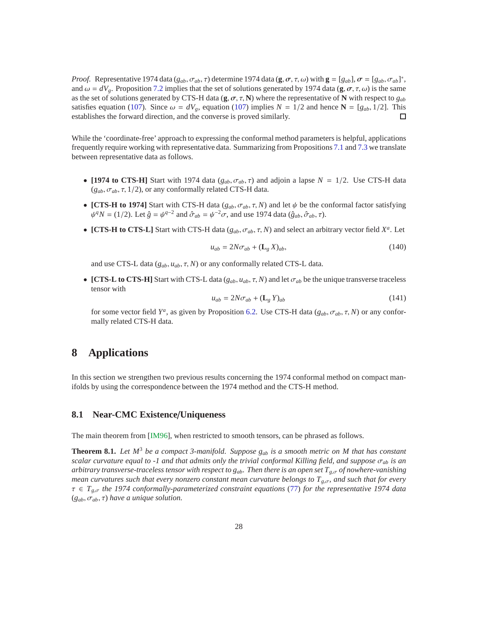*Proof.* Representative 1974 data ( $g_{ab}$ ,  $\sigma_{ab}$ ,  $\tau$ ) determine 1974 data (**g**,  $\sigma$ ,  $\tau$ ,  $\omega$ ) with **g** = [ $g_{ab}$ ],  $\sigma$  = [ $g_{ab}$ ,  $\sigma_{ab}$ ]<sup>\*</sup>, and  $\omega = dV_g$ . Proposition [7.2](#page-26-0) implies that the set of solutions generated by 1974 data (**g**,  $\sigma$ ,  $\tau$ ,  $\omega$ ) is the same as the set of solutions generated by CTS-H data  $(g, \sigma, \tau, N)$  where the representative of N with respect to  $g_{ab}$ satisfies equation [\(107\)](#page-22-0). Since  $\omega = dV_g$ , equation (107) implies  $N = 1/2$  and hence  $N = [g_{ab}, 1/2]$ . This establishes the forward direction, and the converse is proved similarly. П

While the 'coordinate-free' approach to expressing the conformal method parameters is helpful, applications frequently require working with representative data. Summarizing from Propositions [7.1](#page-25-2) and [7.3](#page-26-1) we translate between representative data as follows.

- **[1974 to CTS-H]** Start with 1974 data  $(g_{ab}, \sigma_{ab}, \tau)$  and adjoin a lapse  $N = 1/2$ . Use CTS-H data  $(g_{ab}, \sigma_{ab}, \tau, 1/2)$ , or any conformally related CTS-H data.
- **[CTS-H to 1974]** Start with CTS-H data  $(g_{ab}, \sigma_{ab}, \tau, N)$  and let  $\psi$  be the conformal factor satisfying  $\psi^q N = (1/2)$ . Let  $\hat{g} = \psi^{q-2}$  and  $\hat{\sigma}_{ab} = \psi^{-2} \sigma$ , and use 1974 data  $(\hat{g}_{ab}, \hat{\sigma}_{ab}, \tau)$ .
- **[CTS-H to CTS-L]** Start with CTS-H data  $(g_{ab}, \sigma_{ab}, \tau, N)$  and select an arbitrary vector field  $X^a$ . Let

$$
u_{ab} = 2N\sigma_{ab} + (\mathbf{L}_g X)_{ab},\tag{140}
$$

and use CTS-L data  $(g_{ab}, u_{ab}, \tau, N)$  or any conformally related CTS-L data.

• **[CTS-L to CTS-H]** Start with CTS-L data  $(g_{ab}, u_{ab}, \tau, N)$  and let  $\sigma_{ab}$  be the unique transverse traceless tensor with

$$
u_{ab} = 2N\sigma_{ab} + (\mathbf{L}_g Y)_{ab} \tag{141}
$$

for some vector field  $Y^a$ , as given by Proposition [6.2.](#page-23-2) Use CTS-H data ( $g_{ab}$ ,  $\sigma_{ab}$ ,  $\tau$ ,  $N$ ) or any conformally related CTS-H data.

# <span id="page-27-0"></span>**8 Applications**

In this section we strengthen two previous results concerning the 1974 conformal method on compact manifolds by using the correspondence between the 1974 method and the CTS-H method.

### **8.1 Near-CMC Existence**/**Uniqueness**

The main theorem from [\[IM96\]](#page-32-3), when restricted to smooth tensors, can be phrased as follows.

<span id="page-27-1"></span>**Theorem 8.1.** *Let M*<sup>3</sup> *be a compact 3-manifold. Suppose gab is a smooth metric on M that has constant scalar curvature equal to -1 and that admits only the trivial conformal Killing field, and suppose* σ*ab is an arbitrary transverse-traceless tensor with respect to gab. Then there is an open set T<sup>g</sup>*,σ *of nowhere-vanishing mean curvatures such that every nonzero constant mean curvature belongs to T<sub><i>g*,σ</sub>, and such that for every</sub> τ ∈ *T<sup>g</sup>*,σ *the 1974 conformally-parameterized constraint equations* [\(77\)](#page-15-4) *for the representative 1974 data* (*gab*, σ*ab*, τ) *have a unique solution.*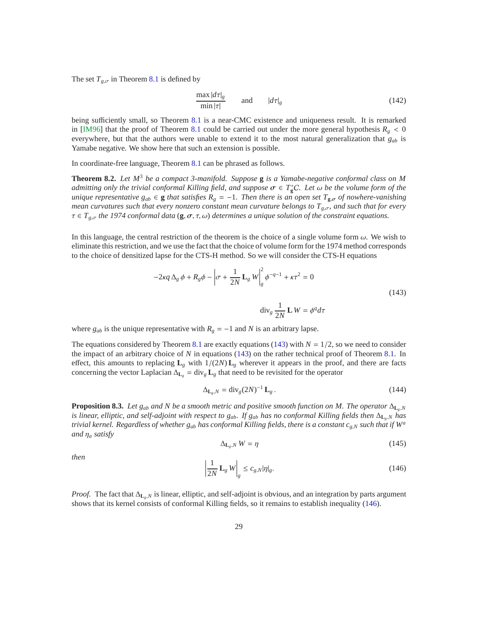The set  $T_{g,\sigma}$  in Theorem [8.1](#page-27-1) is defined by

$$
\frac{\max |d\tau|_g}{\min |\tau|} \qquad \text{and} \qquad |d\tau|_g \tag{142}
$$

being sufficiently small, so Theorem [8.1](#page-27-1) is a near-CMC existence and uniqueness result. It is remarked in [\[IM96\]](#page-32-3) that the proof of Theorem [8.1](#page-27-1) could be carried out under the more general hypothesis  $R_g < 0$ everywhere, but that the authors were unable to extend it to the most natural generalization that *gab* is Yamabe negative. We show here that such an extension is possible.

In coordinate-free language, Theorem [8.1](#page-27-1) can be phrased as follows.

**Theorem 8.2.** *Let M*<sup>3</sup> *be a compact 3-manifold. Suppose* **g** *is a Yamabe-negative conformal class on M*  $a$ *dmitting only the trivial conformal Killing field, and suppose*  $\sigma \in T^*_gC$ *. Let*  $\omega$  *be the volume form of the unique representative g<sub>ab</sub>* ∈ **g** *that satisfies*  $R_g = -1$ *. Then there is an open set*  $T_{g,\sigma}$  *of nowhere-vanishing mean curvatures such that every nonzero constant mean curvature belongs to Tg*,σ*, and such that for every* τ ∈ *T<sup>g</sup>*,σ *the 1974 conformal data* (**g**, σ, τ, ω) *determines a unique solution of the constraint equations.*

In this language, the central restriction of the theorem is the choice of a single volume form  $\omega$ . We wish to eliminate this restriction, and we use the fact that the choice of volume form for the 1974 method corresponds to the choice of densitized lapse for the CTS-H method. So we will consider the CTS-H equations

<span id="page-28-0"></span>
$$
-2\kappa q \Delta_g \phi + R_g \phi - \left| \sigma + \frac{1}{2N} \mathbf{L}_g W \right|_g^2 \phi^{-q-1} + \kappa \tau^2 = 0
$$
  
(143)  

$$
\operatorname{div}_g \frac{1}{2N} \mathbf{L} W = \phi^q d\tau
$$

where  $g_{ab}$  is the unique representative with  $R_g = -1$  and *N* is an arbitrary lapse.

The equations considered by Theorem [8.1](#page-27-1) are exactly equations [\(143\)](#page-28-0) with  $N = 1/2$ , so we need to consider the impact of an arbitrary choice of *N* in equations [\(143\)](#page-28-0) on the rather technical proof of Theorem [8.1.](#page-27-1) In effect, this amounts to replacing  $L_g$  with  $1/(2N) L_g$  wherever it appears in the proof, and there are facts concerning the vector Laplacian  $\Delta$ **L**<sub>*g*</sub> = div<sub>g</sub> **L**<sub>*g*</sub> that need to be revisited for the operator

$$
\Delta_{\mathbf{L}_g, N} = \text{div}_g (2N)^{-1} \mathbf{L}_g \,. \tag{144}
$$

<span id="page-28-2"></span>**Proposition 8.3.** *Let g<sub>ab</sub> and N be a smooth metric and positive smooth function on M. The operator*  $\Delta_{\mathbf{L}_a, N}$ *is linear, elliptic, and self-adjoint with respect to*  $g_{ab}$ *. If*  $g_{ab}$  *has no conformal Killing fields then*  $\Delta_{L_a,N}$  has *trivial kernel. Regardless of whether gab has conformal Killing fields, there is a constant c<sup>g</sup>*,*<sup>N</sup> such that if W<sup>a</sup> and* η*<sup>a</sup> satisfy*

$$
\Delta_{\mathbf{L}_g, N} W = \eta \tag{145}
$$

*then* 

<span id="page-28-1"></span>
$$
\left|\frac{1}{2N}\mathbf{L}_g W\right|_g \le c_{g,N} |\eta|_g. \tag{146}
$$

*Proof.* The fact that ∆**<sub>L<sub>***g</sub>N* is linear, elliptic, and self-adjoint is obvious, and an integration by parts argument</sub></sub> shows that its kernel consists of conformal Killing fields, so it remains to establish inequality [\(146\)](#page-28-1).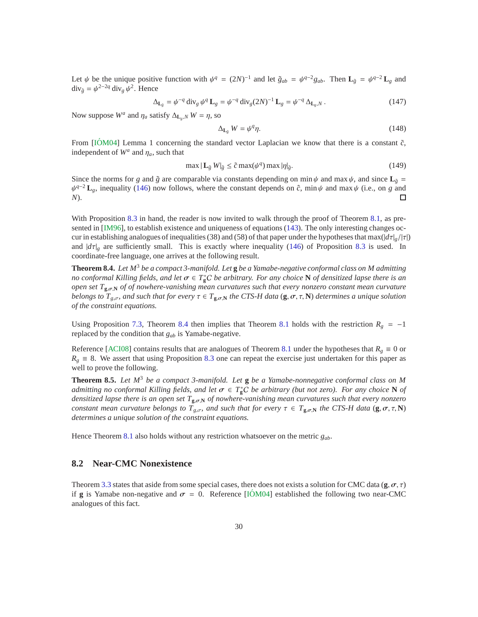Let  $\psi$  be the unique positive function with  $\psi^q = (2N)^{-1}$  and let  $\tilde{g}_{ab} = \psi^{q-2}g_{ab}$ . Then  $\mathbf{L}_{\tilde{g}} = \psi^{q-2}\mathbf{L}_g$  and  $\text{div}_{\tilde{g}} = \psi^{2-2q} \text{div}_g \psi^2$ . Hence

$$
\Delta_{\mathbf{L}_{\tilde{g}}} = \psi^{-q} \operatorname{div}_{g} \psi^{q} \mathbf{L}_{g} = \psi^{-q} \operatorname{div}_{g} (2N)^{-1} \mathbf{L}_{g} = \psi^{-q} \Delta_{\mathbf{L}_{g},N}.
$$
\n(147)

Now suppose  $W^a$  and  $\eta_a$  satisfy  $\Delta_{\mathbf{L}_g, N} W = \eta$ , so

$$
\Delta_{\mathbf{L}_{\tilde{g}}} W = \psi^q \eta. \tag{148}
$$

From  $[IOM04]$  $[IOM04]$  Lemma 1 concerning the standard vector Laplacian we know that there is a constant  $\tilde{c}$ , independent of  $W^a$  and  $\eta_a$ , such that

$$
\max |\mathbf{L}_{\tilde{g}} \, W|_{\tilde{g}} \le \tilde{c} \max(\psi^q) \max |\eta|_{\tilde{g}}.
$$
 (149)

Since the norms for *g* and  $\tilde{g}$  are comparable via constants depending on min  $\psi$  and max  $\psi$ , and since  $\mathbf{L}_{\tilde{g}} =$  $\psi^{q-2}$ **L**<sub>g</sub>, inequality [\(146\)](#page-28-1) now follows, where the constant depends on  $\hat{c}$ , min  $\psi$  and max  $\psi$  (i.e., on *g* and *N*).  $\Box$ 

With Proposition [8.3](#page-28-2) in hand, the reader is now invited to walk through the proof of Theorem [8.1,](#page-27-1) as presented in [\[IM96\]](#page-32-3), to establish existence and uniqueness of equations [\(143\)](#page-28-0). The only interesting changes occur in establishing analogues of inequalities (38) and (58) of that paper under the hypotheses that max( $|d\tau|_g/|\tau|$ ) and  $|d\tau|_g$  are sufficiently small. This is exactly where inequality [\(146\)](#page-28-1) of Proposition [8.3](#page-28-2) is used. In coordinate-free language, one arrives at the following result.

<span id="page-29-0"></span>**Theorem 8.4.** *Let M*<sup>3</sup> *be a compact 3-manifold. Let* **g** *be a Yamabe-negative conformal class on M admitting no conformal Killing fields, and let*  $\sigma \in T^*_gC$  *be arbitrary. For any choice* **N** *of densitized lapse there is an open set T***<sup>g</sup>**,σ,**<sup>N</sup>** *of of nowhere-vanishing mean curvatures such that every nonzero constant mean curvature belongs to*  $T_{g,\sigma}$ , and such that for every  $\tau \in T_{g,\sigma,N}$  the CTS-H data ( $g,\sigma,\tau,N$ ) determines a unique solution *of the constraint equations.*

Using Proposition [7.3,](#page-26-1) Theorem [8.4](#page-29-0) then implies that Theorem [8.1](#page-27-1) holds with the restriction  $R_g = -1$ replaced by the condition that *gab* is Yamabe-negative.

Reference [\[ACI08\]](#page-32-4) contains results that are analogues of Theorem [8.1](#page-27-1) under the hypotheses that  $R_g \equiv 0$  or  $R_g \equiv 8$ . We assert that using Proposition [8.3](#page-28-2) one can repeat the exercise just undertaken for this paper as well to prove the following.

**Theorem 8.5.** *Let M*<sup>3</sup> *be a compact 3-manifold. Let* **g** *be a Yamabe-nonnegative conformal class on M admitting no conformal Killing fields, and let*  $\sigma \in T_g^*C$  *be arbitrary (but not zero). For any choice* **N** *of densitized lapse there is an open set T***<sup>g</sup>**,σ,**<sup>N</sup>** *of nowhere-vanishing mean curvatures such that every nonzero constant mean curvature belongs to*  $T_{g,\sigma}$ , and such that for every  $\tau \in T_{g,\sigma,N}$  the CTS-H data ( $g,\sigma,\tau,N$ ) *determines a unique solution of the constraint equations.*

Hence Theorem [8.1](#page-27-1) also holds without any restriction whatsoever on the metric *gab*.

### **8.2 Near-CMC Nonexistence**

Theorem [3.3](#page-14-1) states that aside from some special cases, there does not exists a solution for CMC data  $(\mathbf{g}, \sigma, \tau)$ if **g** is Yamabe non-negative and  $\sigma = 0$ . Reference [\[IOM04](#page-33-8)] established the following two near-CMC analogues of this fact.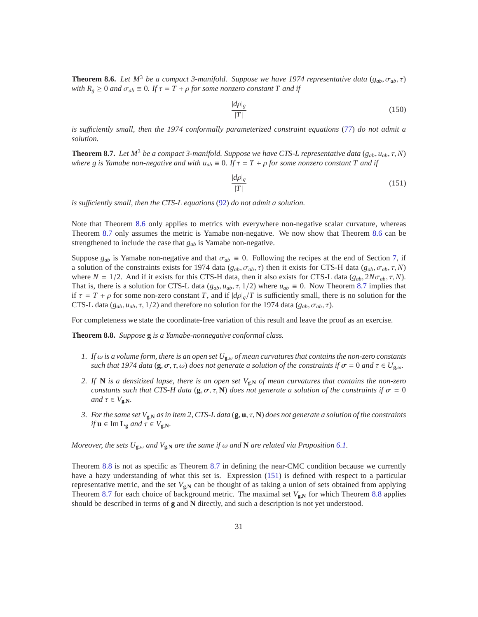<span id="page-30-0"></span>**Theorem 8.6.** *Let*  $M^3$  *be a compact 3-manifold. Suppose we have 1974 representative data* ( $g_{ab}$ ,  $\sigma_{ab}$ ,  $\tau$ ) *with*  $R_g \geq 0$  *and*  $\sigma_{ab} \equiv 0$ *. If*  $\tau = T + \rho$  *for some nonzero constant T and if* 

$$
\frac{|d\rho|_g}{|T|}\tag{150}
$$

*is su*ffi*ciently small, then the 1974 conformally parameterized constraint equations* [\(77\)](#page-15-4) *do not admit a solution.*

<span id="page-30-1"></span>**Theorem 8.7.** *Let*  $M^3$  *be a compact 3-manifold. Suppose we have CTS-L representative data* ( $g_{ab}$ ,  $u_{ab}$ ,  $\tau$ ,  $N$ ) *where g is Yamabe non-negative and with*  $u_{ab} \equiv 0$ *. If*  $\tau = T + \rho$  *for some nonzero constant T* and *if* 

<span id="page-30-3"></span>
$$
\frac{|d\rho|_g}{|T|}\tag{151}
$$

*is su*ffi*ciently small, then the CTS-L equations* [\(92\)](#page-19-2) *do not admit a solution.*

Note that Theorem [8.6](#page-30-0) only applies to metrics with everywhere non-negative scalar curvature, whereas Theorem [8.7](#page-30-1) only assumes the metric is Yamabe non-negative. We now show that Theorem [8.6](#page-30-0) can be strengthened to include the case that *gab* is Yamabe non-negative.

Suppose  $g_{ab}$  is Yamabe non-negative and that  $\sigma_{ab} \equiv 0$ . Following the recipes at the end of Section [7,](#page-25-0) if a solution of the constraints exists for 1974 data ( $g_{ab}, \sigma_{ab}, \tau$ ) then it exists for CTS-H data ( $g_{ab}, \sigma_{ab}, \tau, N$ ) where  $N = 1/2$ . And if it exists for this CTS-H data, then it also exists for CTS-L data  $(g_{ab}, 2N\sigma_{ab}, \tau, N)$ . That is, there is a solution for CTS-L data  $(g_{ab}, u_{ab}, \tau, 1/2)$  where  $u_{ab} \equiv 0$ . Now Theorem [8.7](#page-30-1) implies that if  $\tau = T + \rho$  for some non-zero constant *T*, and if  $|d\rho|_g/T$  is sufficiently small, there is no solution for the CTS-L data ( $g_{ab}$ ,  $u_{ab}$ ,  $\tau$ , 1/2) and therefore no solution for the 1974 data ( $g_{ab}$ ,  $\sigma_{ab}$ ,  $\tau$ ).

For completeness we state the coordinate-free variation of this result and leave the proof as an exercise.

<span id="page-30-2"></span>**Theorem 8.8.** *Suppose* **g** *is a Yamabe-nonnegative conformal class.*

- *1. If* ω *is a volume form, there is an open set U***<sup>g</sup>**,ω *of mean curvatures that contains the non-zero constants such that 1974 data* (**g**,  $\sigma$ ,  $\tau$ ,  $\omega$ ) *does not generate a solution of the constraints if*  $\sigma = 0$  *and*  $\tau \in U_{g,\omega}$ .
- 2. If **N** is a densitized lapse, there is an open set  $V_{\mathbf{g},\mathbf{N}}$  of mean curvatures that contains the non-zero *constants such that CTS-H data* (**g**,  $\sigma$ ,  $\tau$ , **N**) *does not generate a solution of the constraints if*  $\sigma = 0$ *and*  $\tau \in V_{\mathbf{g},\mathbf{N}}$ *.*
- *3. For the same set V***g**,**<sup>N</sup>** *as in item 2, CTS-L data* (**g**, **u**, τ, **N**) *does not generate a solution of the constraints*  $if$ **u**  $\in$  Im  $\mathbf{L}_{g}$  *and*  $\tau \in V_{g,N}$ *.*

*Moreover, the sets*  $U_{\mathbf{g},\omega}$  *and*  $V_{\mathbf{g},\mathbf{N}}$  *are the same if*  $\omega$  *and* **N** *are related via Proposition* [6.1.](#page-22-2)

Theorem [8.8](#page-30-2) is not as specific as Theorem [8.7](#page-30-1) in defining the near-CMC condition because we currently have a hazy understanding of what this set is. Expression [\(151\)](#page-30-3) is defined with respect to a particular representative metric, and the set  $V_{\mathbf{g},\mathbf{N}}$  can be thought of as taking a union of sets obtained from applying Theorem [8.7](#page-30-1) for each choice of background metric. The maximal set  $V_{\mathbf{g},N}$  for which Theorem [8.8](#page-30-2) applies should be described in terms of **g** and **N** directly, and such a description is not yet understood.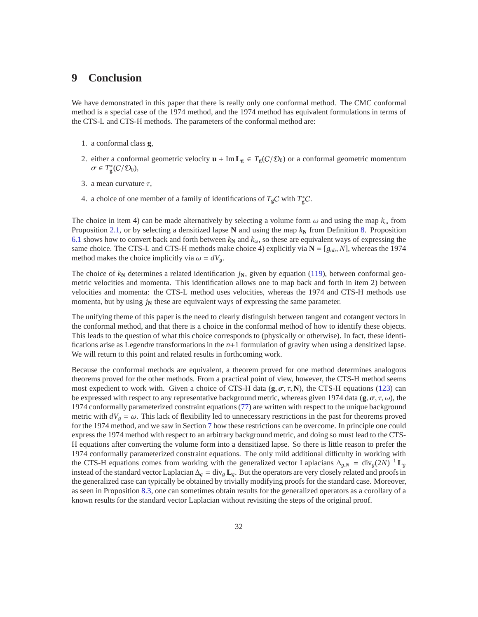# **9 Conclusion**

We have demonstrated in this paper that there is really only one conformal method. The CMC conformal method is a special case of the 1974 method, and the 1974 method has equivalent formulations in terms of the CTS-L and CTS-H methods. The parameters of the conformal method are:

- 1. a conformal class **g**,
- 2. either a conformal geometric velocity  $\mathbf{u} + \text{Im} \mathbf{L}_{\mathbf{g}} \in T_{\mathbf{g}}(\mathcal{C}/\mathcal{D}_0)$  or a conformal geometric momentum  $\sigma \in T^*_{\mathbf{g}}(\mathcal{C}/\mathcal{D}_0),$
- 3. a mean curvature  $\tau$ ,
- 4. a choice of one member of a family of identifications of  $T_gC$  with  $T_g^*C$ .

The choice in item 4) can be made alternatively by selecting a volume form  $\omega$  and using the map  $k_{\omega}$  from Proposition [2.1,](#page-8-1) or by selecting a densitized lapse **N** and using the map  $k_N$  from Definition [8.](#page-21-2) Proposition [6.1](#page-22-2) shows how to convert back and forth between  $k_N$  and  $k_\omega$ , so these are equivalent ways of expressing the same choice. The CTS-L and CTS-H methods make choice 4) explicitly via  $N = [g_{ab}, N]$ , whereas the 1974 method makes the choice implicitly via  $\omega = dV_g$ .

The choice of  $k_N$  determines a related identification  $j_N$ , given by equation [\(119\)](#page-23-5), between conformal geometric velocities and momenta. This identification allows one to map back and forth in item 2) between velocities and momenta: the CTS-L method uses velocities, whereas the 1974 and CTS-H methods use momenta, but by using  $j_N$  these are equivalent ways of expressing the same parameter.

The unifying theme of this paper is the need to clearly distinguish between tangent and cotangent vectors in the conformal method, and that there is a choice in the conformal method of how to identify these objects. This leads to the question of what this choice corresponds to (physically or otherwise). In fact, these identifications arise as Legendre transformations in the *n*+1 formulation of gravity when using a densitized lapse. We will return to this point and related results in forthcoming work.

Because the conformal methods are equivalent, a theorem proved for one method determines analogous theorems proved for the other methods. From a practical point of view, however, the CTS-H method seems most expedient to work with. Given a choice of CTS-H data  $(g, \sigma, \tau, N)$ , the CTS-H equations [\(123\)](#page-24-1) can be expressed with respect to any representative background metric, whereas given 1974 data ( $\bf{g}, \sigma, \tau, \omega$ ), the 1974 conformally parameterized constraint equations [\(77\)](#page-15-4) are written with respect to the unique background metric with  $dV_g = \omega$ . This lack of flexibility led to unnecessary restrictions in the past for theorems proved for the 1974 method, and we saw in Section [7](#page-25-0) how these restrictions can be overcome. In principle one could express the 1974 method with respect to an arbitrary background metric, and doing so must lead to the CTS-H equations after converting the volume form into a densitized lapse. So there is little reason to prefer the 1974 conformally parameterized constraint equations. The only mild additional difficulty in working with the CTS-H equations comes from working with the generalized vector Laplacians  $\Delta_{g,N} = \text{div}_g(2N)^{-1} \mathbf{L}_g$ instead of the standard vector Laplacian ∆*<sup>g</sup>* = div*<sup>g</sup>* **L***g*. But the operators are very closely related and proofs in the generalized case can typically be obtained by trivially modifying proofs for the standard case. Moreover, as seen in Proposition [8.3,](#page-28-2) one can sometimes obtain results for the generalized operators as a corollary of a known results for the standard vector Laplacian without revisiting the steps of the original proof.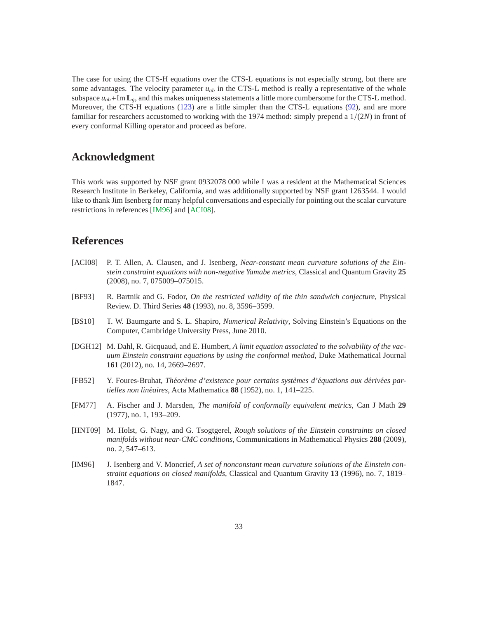The case for using the CTS-H equations over the CTS-L equations is not especially strong, but there are some advantages. The velocity parameter  $u_{ab}$  in the CTS-L method is really a representative of the whole subspace  $u_{ab}$ +Im  $\mathbf{L}_g$ , and this makes uniqueness statements a little more cumbersome for the CTS-L method. Moreover, the CTS-H equations [\(123\)](#page-24-1) are a little simpler than the CTS-L equations [\(92\)](#page-19-2), and are more familiar for researchers accustomed to working with the 1974 method: simply prepend a 1/(2*N*) in front of every conformal Killing operator and proceed as before.

# **Acknowledgment**

This work was supported by NSF grant 0932078 000 while I was a resident at the Mathematical Sciences Research Institute in Berkeley, California, and was additionally supported by NSF grant 1263544. I would like to thank Jim Isenberg for many helpful conversations and especially for pointing out the scalar curvature restrictions in references [\[IM96\]](#page-32-3) and [\[ACI08\]](#page-32-4).

# **References**

- <span id="page-32-4"></span>[ACI08] P. T. Allen, A. Clausen, and J. Isenberg, *Near-constant mean curvature solutions of the Einstein constraint equations with non-negative Yamabe metrics*, Classical and Quantum Gravity **25** (2008), no. 7, 075009–075015.
- <span id="page-32-7"></span>[BF93] R. Bartnik and G. Fodor, *On the restricted validity of the thin sandwich conjecture*, Physical Review. D. Third Series **48** (1993), no. 8, 3596–3599.
- <span id="page-32-5"></span>[BS10] T. W. Baumgarte and S. L. Shapiro, *Numerical Relativity*, Solving Einstein's Equations on the Computer, Cambridge University Press, June 2010.
- <span id="page-32-2"></span>[DGH12] M. Dahl, R. Gicquaud, and E. Humbert, *A limit equation associated to the solvability of the vacuum Einstein constraint equations by using the conformal method*, Duke Mathematical Journal **161** (2012), no. 14, 2669–2697.
- <span id="page-32-0"></span>[FB52] Y. Foures-Bruhat, *Théorème d'existence pour certains systèmes d'équations aux dérivées partielles non lin´eaires*, Acta Mathematica **88** (1952), no. 1, 141–225.
- <span id="page-32-6"></span>[FM77] A. Fischer and J. Marsden, *The manifold of conformally equivalent metrics*, Can J Math **29** (1977), no. 1, 193–209.
- <span id="page-32-1"></span>[HNT09] M. Holst, G. Nagy, and G. Tsogtgerel, *Rough solutions of the Einstein constraints on closed manifolds without near-CMC conditions*, Communications in Mathematical Physics **288** (2009), no. 2, 547–613.
- <span id="page-32-3"></span>[IM96] J. Isenberg and V. Moncrief, *A set of nonconstant mean curvature solutions of the Einstein constraint equations on closed manifolds*, Classical and Quantum Gravity **13** (1996), no. 7, 1819– 1847.